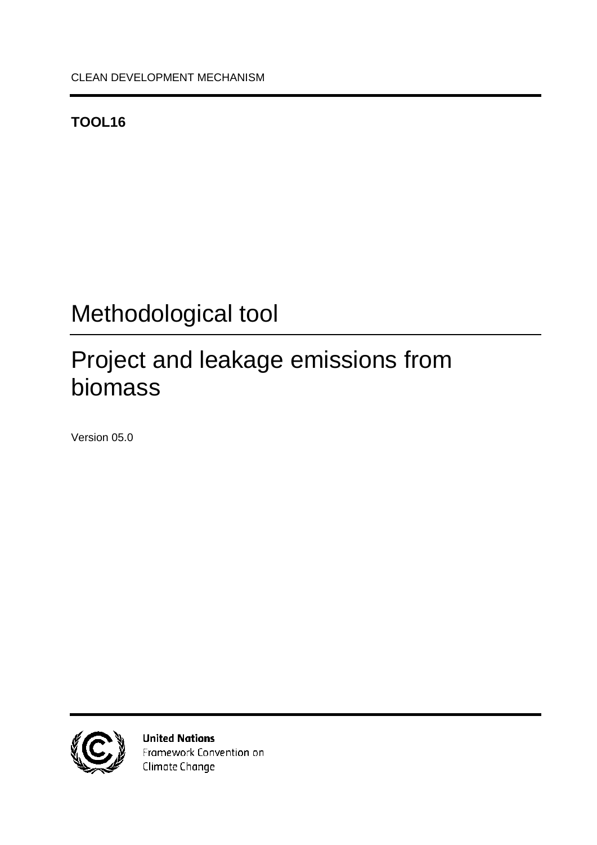### <span id="page-0-0"></span>**TOOL16**

# <span id="page-0-1"></span>Methodological tool

# <span id="page-0-2"></span>Project and leakage emissions from biomass

<span id="page-0-3"></span>Version 05.0



**United Nations** Framework Convention on Climate Change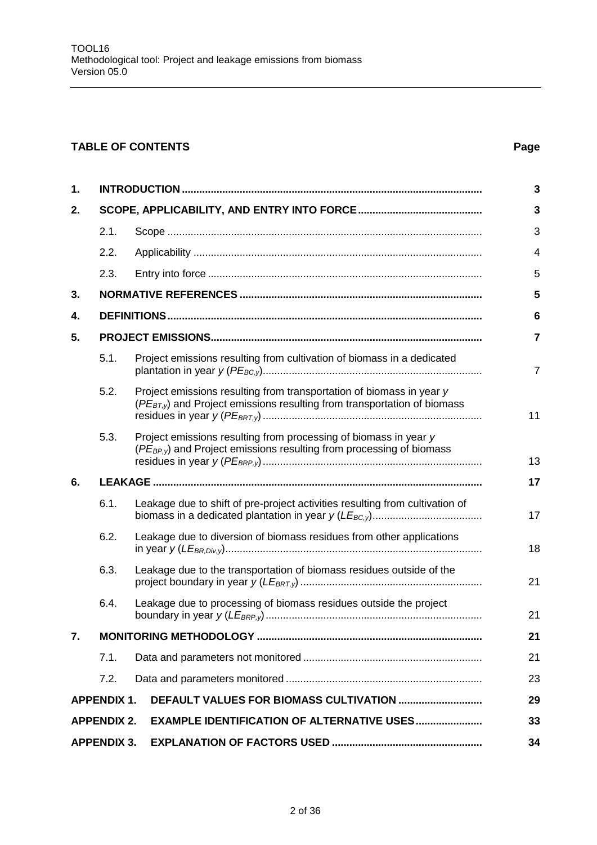### **TABLE OF CONTENTS Page**

| 1.                                                                      |      |                                                                                                                                                              |                |  |  |  |  |
|-------------------------------------------------------------------------|------|--------------------------------------------------------------------------------------------------------------------------------------------------------------|----------------|--|--|--|--|
| 2.                                                                      |      |                                                                                                                                                              |                |  |  |  |  |
|                                                                         | 2.1. |                                                                                                                                                              | 3              |  |  |  |  |
|                                                                         | 2.2. |                                                                                                                                                              | $\overline{4}$ |  |  |  |  |
|                                                                         | 2.3. |                                                                                                                                                              | 5              |  |  |  |  |
| 3.                                                                      |      |                                                                                                                                                              | 5              |  |  |  |  |
| 4.                                                                      |      |                                                                                                                                                              | 6              |  |  |  |  |
| 5.                                                                      |      |                                                                                                                                                              | $\overline{7}$ |  |  |  |  |
|                                                                         | 5.1. | Project emissions resulting from cultivation of biomass in a dedicated                                                                                       | $\overline{7}$ |  |  |  |  |
|                                                                         | 5.2. | Project emissions resulting from transportation of biomass in year y<br>(PE <sub>BT,y</sub> ) and Project emissions resulting from transportation of biomass | 11             |  |  |  |  |
|                                                                         | 5.3. | Project emissions resulting from processing of biomass in year y<br>(PE <sub>BP,y</sub> ) and Project emissions resulting from processing of biomass         | 13             |  |  |  |  |
| 6.                                                                      |      |                                                                                                                                                              |                |  |  |  |  |
|                                                                         | 6.1. | Leakage due to shift of pre-project activities resulting from cultivation of                                                                                 | 17             |  |  |  |  |
|                                                                         | 6.2. | Leakage due to diversion of biomass residues from other applications                                                                                         |                |  |  |  |  |
|                                                                         | 6.3. | Leakage due to the transportation of biomass residues outside of the                                                                                         |                |  |  |  |  |
|                                                                         | 6.4. | Leakage due to processing of biomass residues outside the project                                                                                            | 21             |  |  |  |  |
| 7.                                                                      |      |                                                                                                                                                              | 21             |  |  |  |  |
|                                                                         | 7.1. |                                                                                                                                                              | 21             |  |  |  |  |
|                                                                         | 7.2. |                                                                                                                                                              | 23             |  |  |  |  |
| DEFAULT VALUES FOR BIOMASS CULTIVATION<br><b>APPENDIX 1.</b>            |      |                                                                                                                                                              |                |  |  |  |  |
| <b>APPENDIX 2.</b><br><b>EXAMPLE IDENTIFICATION OF ALTERNATIVE USES</b> |      |                                                                                                                                                              |                |  |  |  |  |
| <b>APPENDIX 3.</b>                                                      |      |                                                                                                                                                              |                |  |  |  |  |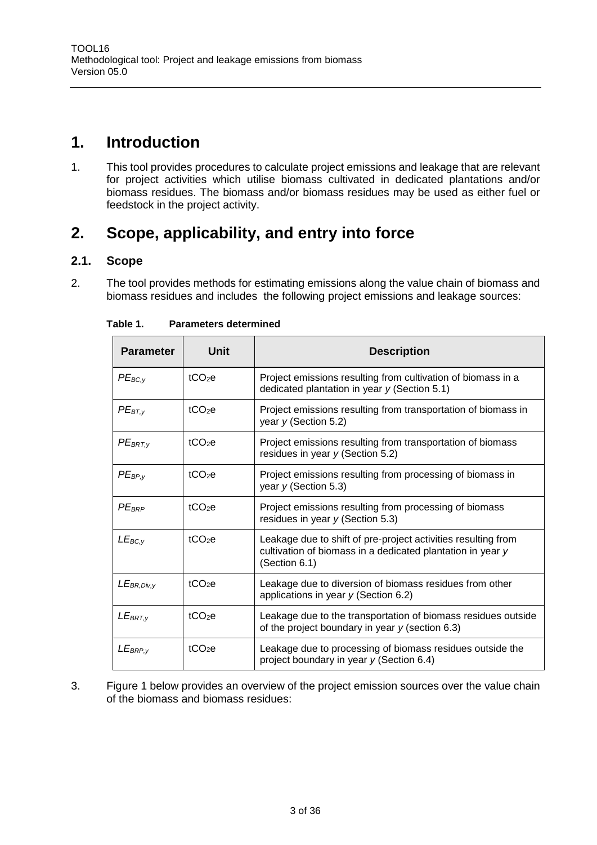### <span id="page-2-0"></span>**1. Introduction**

1. This tool provides procedures to calculate project emissions and leakage that are relevant for project activities which utilise biomass cultivated in dedicated plantations and/or biomass residues. The biomass and/or biomass residues may be used as either fuel or feedstock in the project activity.

### <span id="page-2-1"></span>**2. Scope, applicability, and entry into force**

#### <span id="page-2-2"></span>**2.1. Scope**

2. The tool provides methods for estimating emissions along the value chain of biomass and biomass residues and includes the following project emissions and leakage sources:

| <b>Parameter</b> | Unit               | <b>Description</b>                                                                                                                           |
|------------------|--------------------|----------------------------------------------------------------------------------------------------------------------------------------------|
| $PE_{BC,y}$      | tCO <sub>2</sub> e | Project emissions resulting from cultivation of biomass in a<br>dedicated plantation in year $y$ (Section 5.1)                               |
| $PE_{BT,V}$      | tCO <sub>2</sub> e | Project emissions resulting from transportation of biomass in<br>year $y$ (Section 5.2)                                                      |
| $PE_{BRT,y}$     | tCO <sub>2</sub> e | Project emissions resulting from transportation of biomass<br>residues in year $y$ (Section 5.2)                                             |
| $PE_{BP,\nu}$    | tCO <sub>2</sub> e | Project emissions resulting from processing of biomass in<br>year $y$ (Section 5.3)                                                          |
| $PE_{BRP}$       | $tCO2$ e           | Project emissions resulting from processing of biomass<br>residues in year $y$ (Section 5.3)                                                 |
| $LE_{BC,V}$      | tCO <sub>2</sub> e | Leakage due to shift of pre-project activities resulting from<br>cultivation of biomass in a dedicated plantation in year y<br>(Section 6.1) |
| $LE_{BR,Div, V}$ | $tCO2$ e           | Leakage due to diversion of biomass residues from other<br>applications in year $y$ (Section 6.2)                                            |
| $LE_{BRT,y}$     | tCO <sub>2</sub> e | Leakage due to the transportation of biomass residues outside<br>of the project boundary in year $y$ (section 6.3)                           |
| $LE_{BRP,y}$     | tCO <sub>2</sub> e | Leakage due to processing of biomass residues outside the<br>project boundary in year y (Section 6.4)                                        |

**Table 1. Parameters determined**

3. Figure 1 below provides an overview of the project emission sources over the value chain of the biomass and biomass residues: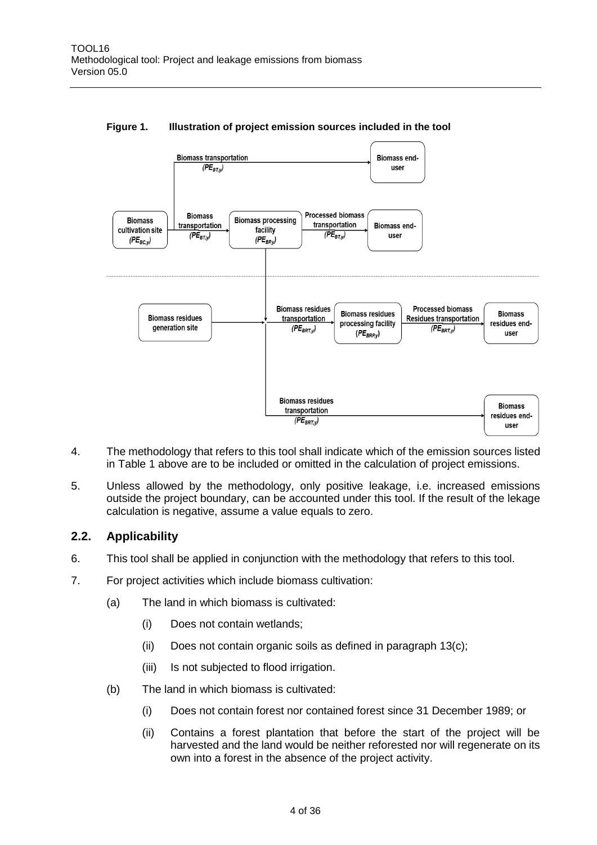

#### **Figure 1. Illustration of project emission sources included in the tool**

- 4. The methodology that refers to this tool shall indicate which of the emission sources listed in Table 1 above are to be included or omitted in the calculation of project emissions.
- 5. Unless allowed by the methodology, only positive leakage, i.e. increased emissions outside the project boundary, can be accounted under this tool. If the result of the lekage calculation is negative, assume a value equals to zero.

#### <span id="page-3-0"></span>**2.2. Applicability**

- 6. This tool shall be applied in conjunction with the methodology that refers to this tool.
- <span id="page-3-1"></span>7. For project activities which include biomass cultivation:
	- (a) The land in which biomass is cultivated:
		- (i) Does not contain wetlands;
		- (ii) Does not contain organic soils as defined in paragraph [13\(c\);](#page-5-1)
		- (iii) Is not subjected to flood irrigation.
	- (b) The land in which biomass is cultivated:
		- (i) Does not contain forest nor contained forest since 31 December 1989; or
		- (ii) Contains a forest plantation that before the start of the project will be harvested and the land would be neither reforested nor will regenerate on its own into a forest in the absence of the project activity.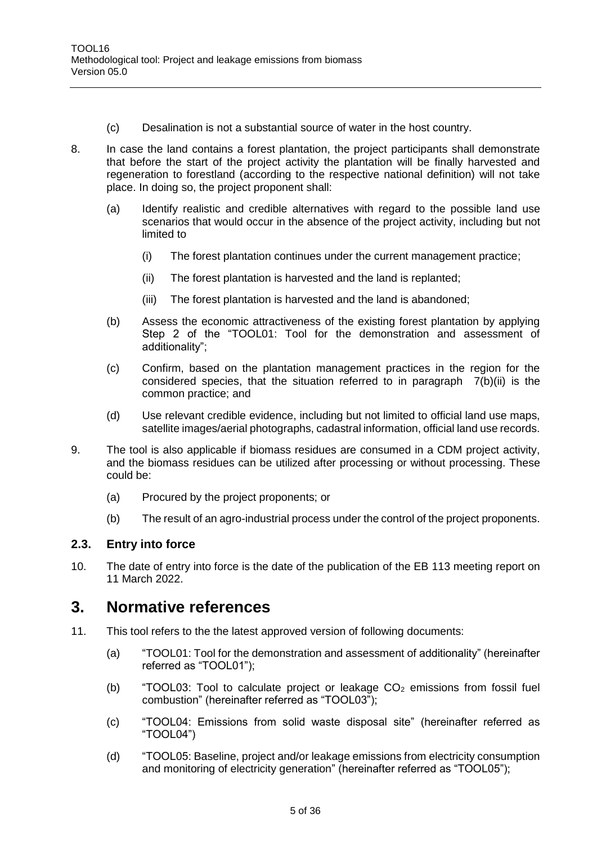- (c) Desalination is not a substantial source of water in the host country.
- 8. In case the land contains a forest plantation, the project participants shall demonstrate that before the start of the project activity the plantation will be finally harvested and regeneration to forestland (according to the respective national definition) will not take place. In doing so, the project proponent shall:
	- (a) Identify realistic and credible alternatives with regard to the possible land use scenarios that would occur in the absence of the project activity, including but not limited to
		- (i) The forest plantation continues under the current management practice;
		- (ii) The forest plantation is harvested and the land is replanted;
		- (iii) The forest plantation is harvested and the land is abandoned;
	- (b) Assess the economic attractiveness of the existing forest plantation by applying Step 2 of the "TOOL01: Tool for the demonstration and assessment of additionality";
	- (c) Confirm, based on the plantation management practices in the region for the considered species, that the situation referred to in paragraph [7\(b\)\(ii\)](#page-3-1) is the common practice; and
	- (d) Use relevant credible evidence, including but not limited to official land use maps, satellite images/aerial photographs, cadastral information, official land use records.
- 9. The tool is also applicable if biomass residues are consumed in a CDM project activity, and the biomass residues can be utilized after processing or without processing. These could be:
	- (a) Procured by the project proponents; or
	- (b) The result of an agro-industrial process under the control of the project proponents.

#### <span id="page-4-0"></span>**2.3. Entry into force**

10. The date of entry into force is the date of the publication of the EB 113 meeting report on 11 March 2022.

### <span id="page-4-1"></span>**3. Normative references**

- 11. This tool refers to the the latest approved version of following documents:
	- (a) "TOOL01: Tool for the demonstration and assessment of additionality" (hereinafter referred as "TOOL01");
	- (b) "TOOL03: Tool to calculate project or leakage  $CO<sub>2</sub>$  emissions from fossil fuel combustion" (hereinafter referred as "TOOL03");
	- (c) "TOOL04: Emissions from solid waste disposal site" (hereinafter referred as "TOOL04")
	- (d) "TOOL05: Baseline, project and/or leakage emissions from electricity consumption and monitoring of electricity generation" (hereinafter referred as "TOOL05");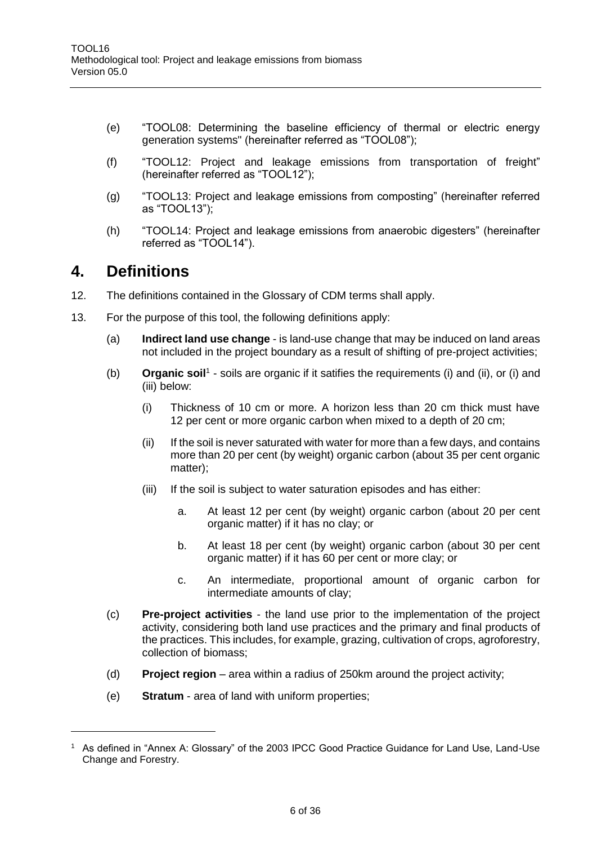- (e) "TOOL08: Determining the baseline efficiency of thermal or electric energy generation systems" (hereinafter referred as "TOOL08");
- (f) "TOOL12: Project and leakage emissions from transportation of freight" (hereinafter referred as "TOOL12");
- (g) "TOOL13: Project and leakage emissions from composting" (hereinafter referred as "TOOL13");
- (h) "TOOL14: Project and leakage emissions from anaerobic digesters" (hereinafter referred as "TOOL14").

### <span id="page-5-0"></span>**4. Definitions**

- 12. The definitions contained in the Glossary of CDM terms shall apply.
- 13. For the purpose of this tool, the following definitions apply:
	- (a) **Indirect land use change** is land-use change that may be induced on land areas not included in the project boundary as a result of shifting of pre-project activities;
	- (b) **Organic soil**<sup>1</sup> soils are organic if it satifies the requirements (i) and (ii), or (i) and (iii) below:
		- (i) Thickness of 10 cm or more. A horizon less than 20 cm thick must have 12 per cent or more organic carbon when mixed to a depth of 20 cm;
		- (ii) If the soil is never saturated with water for more than a few days, and contains more than 20 per cent (by weight) organic carbon (about 35 per cent organic matter);
		- (iii) If the soil is subject to water saturation episodes and has either:
			- a. At least 12 per cent (by weight) organic carbon (about 20 per cent organic matter) if it has no clay; or
			- b. At least 18 per cent (by weight) organic carbon (about 30 per cent organic matter) if it has 60 per cent or more clay; or
			- c. An intermediate, proportional amount of organic carbon for intermediate amounts of clay;
	- (c) **Pre-project activities** the land use prior to the implementation of the project activity, considering both land use practices and the primary and final products of the practices. This includes, for example, grazing, cultivation of crops, agroforestry, collection of biomass;
	- (d) **Project region** area within a radius of 250km around the project activity;
	- (e) **Stratum** area of land with uniform properties;

<span id="page-5-1"></span><sup>1</sup> As defined in "Annex A: Glossary" of the 2003 IPCC Good Practice Guidance for Land Use, Land-Use Change and Forestry.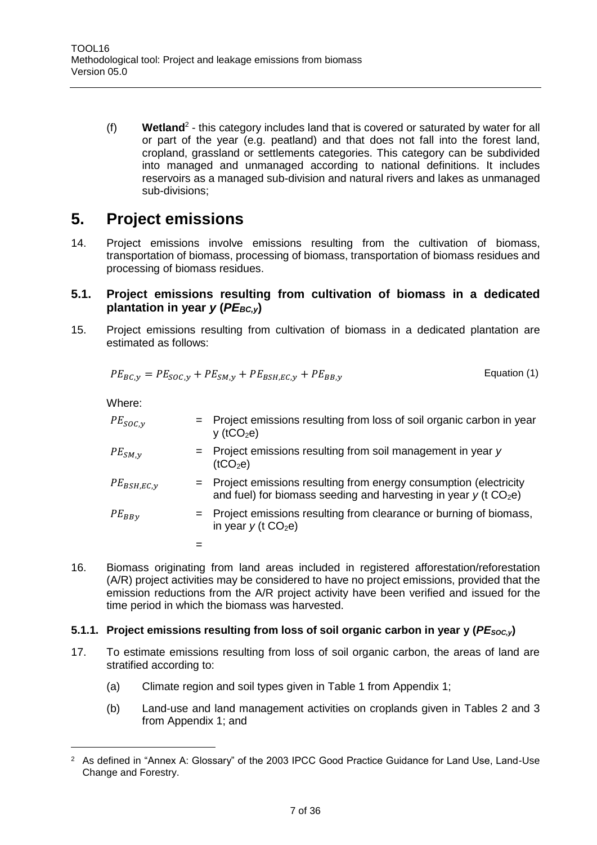(f) **Wetland**<sup>2</sup> - this category includes land that is covered or saturated by water for all or part of the year (e.g. peatland) and that does not fall into the forest land, cropland, grassland or settlements categories. This category can be subdivided into managed and unmanaged according to national definitions. It includes reservoirs as a managed sub-division and natural rivers and lakes as unmanaged sub-divisions;

### <span id="page-6-0"></span>**5. Project emissions**

14. Project emissions involve emissions resulting from the cultivation of biomass, transportation of biomass, processing of biomass, transportation of biomass residues and processing of biomass residues.

#### <span id="page-6-1"></span>**5.1. Project emissions resulting from cultivation of biomass in a dedicated plantation in year** *y* **(***PEBC,y***)**

15. Project emissions resulting from cultivation of biomass in a dedicated plantation are estimated as follows:

$$
PE_{BC,y} = PE_{SOC,y} + PE_{SM,y} + PE_{BSH,EC,y} + PE_{BB,y}
$$
 Equation (1)

Where:

 $\overline{a}$ 

| $PE_{SOC,y}$    | = Project emissions resulting from loss of soil organic carbon in year<br>$y$ (tCO <sub>2</sub> e)                                                   |
|-----------------|------------------------------------------------------------------------------------------------------------------------------------------------------|
| $PE_{SM,\nu}$   | $=$ Project emissions resulting from soil management in year y<br>(tCO <sub>2</sub> e)                                                               |
| $PE_{BSH,EC,V}$ | = Project emissions resulting from energy consumption (electricity<br>and fuel) for biomass seeding and harvesting in year $y$ (t CO <sub>2</sub> e) |
| $PE_{BBv}$      | = Project emissions resulting from clearance or burning of biomass,<br>in year $y$ (t CO <sub>2</sub> e)                                             |
|                 |                                                                                                                                                      |

16. Biomass originating from land areas included in registered afforestation/reforestation (A/R) project activities may be considered to have no project emissions, provided that the emission reductions from the A/R project activity have been verified and issued for the time period in which the biomass was harvested.

#### **5.1.1. Project emissions resulting from loss of soil organic carbon in year y (***PESOC,y***)**

- 17. To estimate emissions resulting from loss of soil organic carbon, the areas of land are stratified according to:
	- (a) Climate region and soil types given in Table 1 from Appendix 1;
	- (b) Land-use and land management activities on croplands given in Tables 2 and 3 from Appendix 1; and

<sup>&</sup>lt;sup>2</sup> As defined in "Annex A: Glossary" of the 2003 IPCC Good Practice Guidance for Land Use, Land-Use Change and Forestry.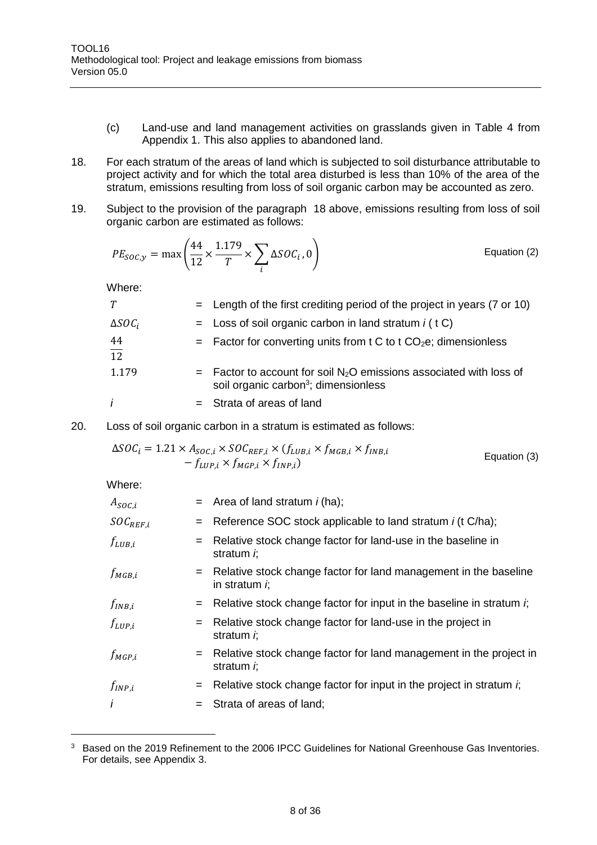- (c) Land-use and land management activities on grasslands given in Table 4 from Appendix 1. This also applies to abandoned land.
- <span id="page-7-0"></span>18. For each stratum of the areas of land which is subjected to soil disturbance attributable to project activity and for which the total area disturbed is less than 10% of the area of the stratum, emissions resulting from loss of soil organic carbon may be accounted as zero.
- 19. Subject to the provision of the paragraph [18](#page-7-0) above, emissions resulting from loss of soil organic carbon are estimated as follows:

$$
PE_{SOC,y} = \max\left(\frac{44}{12} \times \frac{1.179}{T} \times \sum_{i} \Delta SOC_i, 0\right)
$$
 Equation (2)

Where:

| T                     | $=$ Length of the first crediting period of the project in years (7 or 10)                                                            |
|-----------------------|---------------------------------------------------------------------------------------------------------------------------------------|
| $\Delta SOC_i$        | $=$ Loss of soil organic carbon in land stratum $i$ (t C)                                                                             |
| 44<br>$\overline{12}$ | $=$ Factor for converting units from t C to t CO <sub>2</sub> e; dimensionless                                                        |
| 1.179                 | $=$ Factor to account for soil N <sub>2</sub> O emissions associated with loss of<br>soil organic carbon <sup>3</sup> ; dimensionless |
| İ                     | $=$ Strata of areas of land                                                                                                           |

20. Loss of soil organic carbon in a stratum is estimated as follows:

$$
\Delta SOC_i = 1.21 \times A_{SOC,i} \times SOC_{REF,i} \times (f_{LUB,i} \times f_{MGB,i} \times f_{INB,i} - f_{LUP,i} \times f_{MGP,i} \times f_{INP,i})
$$
\nEquation (3)

Where:

| $A_{SOC,i}$   |     | $=$ Area of land stratum <i>i</i> (ha);                                                      |
|---------------|-----|----------------------------------------------------------------------------------------------|
| $SOC_{REF,i}$ |     | $=$ Reference SOC stock applicable to land stratum <i>i</i> (t C/ha);                        |
| $f_{LUB,i}$   | $=$ | Relative stock change factor for land-use in the baseline in<br>stratum <i>i</i> ;           |
| $f_{MGB,i}$   |     | Relative stock change factor for land management in the baseline<br>in stratum $\dot{r}$     |
| $f_{INB,i}$   |     | $=$ Relative stock change factor for input in the baseline in stratum i;                     |
| $f_{LUP,i}$   | $=$ | Relative stock change factor for land-use in the project in<br>stratum <i>i</i> ;            |
| $f_{MGP,i}$   |     | $=$ Relative stock change factor for land management in the project in<br>stratum <i>i</i> ; |
| $f_{INP,i}$   | $=$ | Relative stock change factor for input in the project in stratum $\dot{r}$ ,                 |
| $\dot{I}$     | $=$ | Strata of areas of land;                                                                     |

<sup>&</sup>lt;sup>3</sup> Based on the 2019 Refinement to the 2006 IPCC Guidelines for National Greenhouse Gas Inventories. For details, see Appendix 3.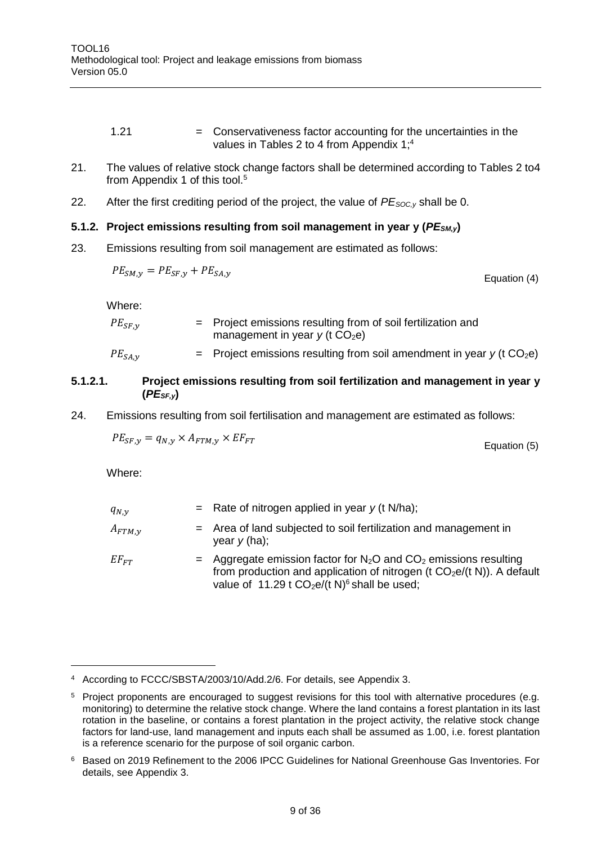- 1.21 = Conservativeness factor accounting for the uncertainties in the values in Tables 2 to 4 from Appendix 1; 4
- 21. The values of relative stock change factors shall be determined according to Tables 2 to4 from Appendix 1 of this tool.<sup>5</sup>
- 22. After the first crediting period of the project, the value of *PESOC,y* shall be 0.

#### **5.1.2. Project emissions resulting from soil management in year y (***PESM,y***)**

23. Emissions resulting from soil management are estimated as follows:

$$
PE_{SM,y} = PE_{SF,y} + PE_{SA,y}
$$

Where:

| $PE_{SF, v}$ | $=$ Project emissions resulting from of soil fertilization and<br>management in year $y$ (t $CO2e$ ) |
|--------------|------------------------------------------------------------------------------------------------------|
| $PE_{SA,y}$  | $=$ Project emissions resulting from soil amendment in year y (t CO <sub>2</sub> e)                  |

### **5.1.2.1. Project emissions resulting from soil fertilization and management in year y (***PESF,y***)**

24. Emissions resulting from soil fertilisation and management are estimated as follows:

$$
PE_{SF,y} = q_{N,y} \times A_{FTM,y} \times EF_{FT}
$$
\nEquation (5)

Where:

| $q_{N,\nu}$   | = Rate of nitrogen applied in year $y$ (t N/ha);                                                                                                                                                                        |
|---------------|-------------------------------------------------------------------------------------------------------------------------------------------------------------------------------------------------------------------------|
| $A_{FTM,\nu}$ | $=$ Area of land subjected to soil fertilization and management in<br>year $y$ (ha);                                                                                                                                    |
| $EF_{FT}$     | $=$ Aggregate emission factor for N <sub>2</sub> O and CO <sub>2</sub> emissions resulting<br>from production and application of nitrogen (t $CO2e/(t N)$ ). A default<br>value of 11.29 t $CO2e/(t N)6$ shall be used; |

<sup>4</sup> According to FCCC/SBSTA/2003/10/Add.2/6. For details, see Appendix 3.

<sup>&</sup>lt;sup>5</sup> Project proponents are encouraged to suggest revisions for this tool with alternative procedures (e.g. monitoring) to determine the relative stock change. Where the land contains a forest plantation in its last rotation in the baseline, or contains a forest plantation in the project activity, the relative stock change factors for land-use, land management and inputs each shall be assumed as 1.00, i.e. forest plantation is a reference scenario for the purpose of soil organic carbon.

<sup>6</sup> Based on 2019 Refinement to the 2006 IPCC Guidelines for National Greenhouse Gas Inventories. For details, see Appendix 3.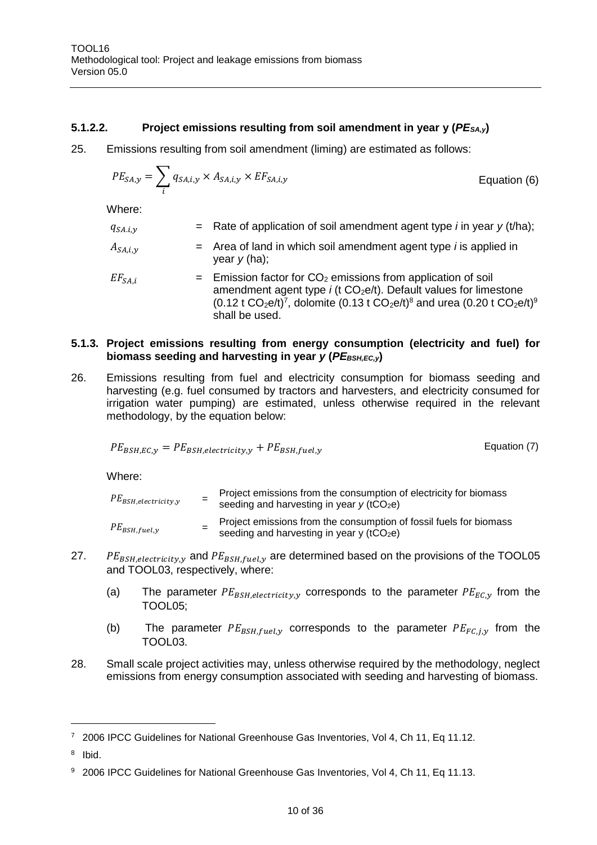#### **5.1.2.2. Project emissions resulting from soil amendment in year y (***PESA,y***)**

25. Emissions resulting from soil amendment (liming) are estimated as follows:

$$
PE_{SA,y} = \sum_{i} q_{SA,i,y} \times A_{SA,i,y} \times EF_{SA,i,y}
$$
 Equation (6)

Where:

| $q_{SA,i,y}$   | = Rate of application of soil amendment agent type $i$ in year $y$ (t/ha);                                                                                                                                                                                                                                               |
|----------------|--------------------------------------------------------------------------------------------------------------------------------------------------------------------------------------------------------------------------------------------------------------------------------------------------------------------------|
| $A_{SA,i,\nu}$ | $=$ Area of land in which soil amendment agent type <i>i</i> is applied in<br>year $y$ (ha);                                                                                                                                                                                                                             |
| $EF_{SA,i}$    | $=$ Emission factor for $CO2$ emissions from application of soil<br>amendment agent type $i$ (t CO <sub>2</sub> e/t). Default values for limestone<br>$(0.12 \text{ t } CO_2$ e/t) <sup>7</sup> , dolomite $(0.13 \text{ t } CO_2$ e/t) <sup>8</sup> and urea $(0.20 \text{ t } CO_2$ e/t) <sup>9</sup><br>shall be used |

#### **5.1.3. Project emissions resulting from energy consumption (electricity and fuel) for biomass seeding and harvesting in year** *y* **(PE**<sub>BSH,EC,y)</sub>

26. Emissions resulting from fuel and electricity consumption for biomass seeding and harvesting (e.g. fuel consumed by tractors and harvesters, and electricity consumed for irrigation water pumping) are estimated, unless otherwise required in the relevant methodology, by the equation below:

$$
PE_{BSH,EC,y} = PE_{BSH,electricity,y} + PE_{BSH,fuel,y}
$$

Where:

| $PE_{BSH,electricity,y}$ | Project emissions from the consumption of electricity for biomass<br>seeding and harvesting in year $y$ (tCO <sub>2</sub> e) |
|--------------------------|------------------------------------------------------------------------------------------------------------------------------|
| $PE_{BSH, fuel, y}$      | Project emissions from the consumption of fossil fuels for biomass<br>seeding and harvesting in year y (tCO <sub>2</sub> e)  |

- 27. PE<sub>BSH,electricity,y</sub> and  $PE_{BSH, fuel, y}$  are determined based on the provisions of the TOOL05 and TOOL03, respectively, where:
	- (a) The parameter  $PE_{BSH, electricity, y}$  corresponds to the parameter  $PE_{EC, y}$  from the TOOL05;
	- (b) The parameter  $PE_{BSH, fuel, y}$  corresponds to the parameter  $PE_{FC, j, y}$  from the TOOL03.
- 28. Small scale project activities may, unless otherwise required by the methodology, neglect emissions from energy consumption associated with seeding and harvesting of biomass.

<sup>&</sup>lt;sup>7</sup> 2006 IPCC Guidelines for National Greenhouse Gas Inventories, Vol 4, Ch 11, Eq 11.12.

<sup>8</sup> Ibid.

<sup>9 2006</sup> IPCC Guidelines for National Greenhouse Gas Inventories, Vol 4, Ch 11, Eq 11.13.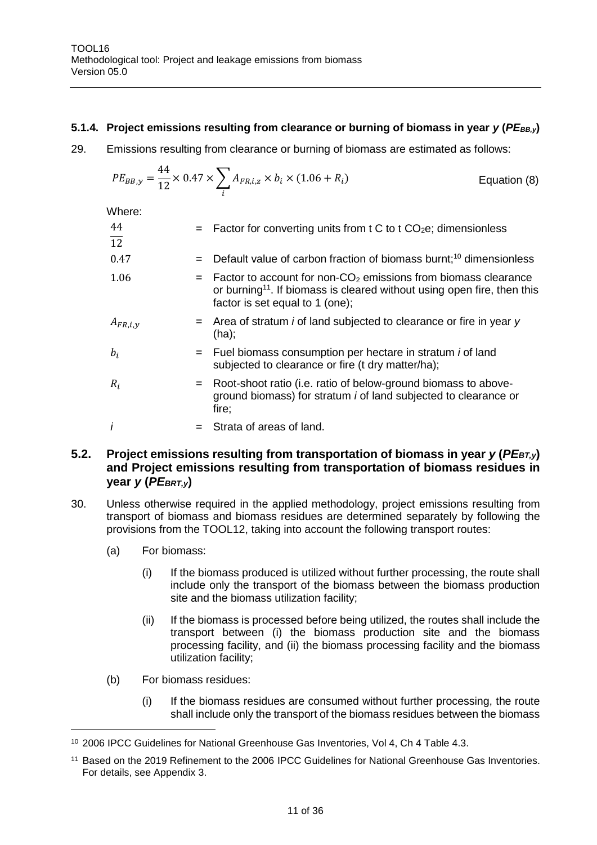#### **5.1.4. Project emissions resulting from clearance or burning of biomass in year** *y* **(***PEBB,y***)**

29. Emissions resulting from clearance or burning of biomass are estimated as follows:

$$
PE_{BB,y} = \frac{44}{12} \times 0.47 \times \sum_{i} A_{FR,i,z} \times b_i \times (1.06 + R_i)
$$
 Equation (8)

Where:

| 44<br>$\overline{12}$ | $=$ Factor for converting units from t C to t CO <sub>2</sub> e; dimensionless                                                                                                                           |
|-----------------------|----------------------------------------------------------------------------------------------------------------------------------------------------------------------------------------------------------|
| 0.47                  | Default value of carbon fraction of biomass burnt; <sup>10</sup> dimensionless<br>$=$                                                                                                                    |
| 1.06                  | $=$ Factor to account for non-CO <sub>2</sub> emissions from biomass clearance<br>or burning <sup>11</sup> . If biomass is cleared without using open fire, then this<br>factor is set equal to 1 (one); |
| $A_{FR,i,y}$          | $=$ Area of stratum <i>i</i> of land subjected to clearance or fire in year y<br>$(ha)$ ;                                                                                                                |
| $b_i$                 | $=$ Fuel biomass consumption per hectare in stratum <i>i</i> of land<br>subjected to clearance or fire (t dry matter/ha);                                                                                |
| $R_i$                 | = Root-shoot ratio (i.e. ratio of below-ground biomass to above-<br>ground biomass) for stratum <i>i</i> of land subjected to clearance or<br>fire;                                                      |
|                       | Strata of areas of land.                                                                                                                                                                                 |

#### <span id="page-10-0"></span>**5.2. Project emissions resulting from transportation of biomass in year** *y* **(***PEBT,y***) and Project emissions resulting from transportation of biomass residues in year** *y* **(***PEBRT,y***)**

- 30. Unless otherwise required in the applied methodology, project emissions resulting from transport of biomass and biomass residues are determined separately by following the provisions from the TOOL12, taking into account the following transport routes:
	- (a) For biomass:
		- (i) If the biomass produced is utilized without further processing, the route shall include only the transport of the biomass between the biomass production site and the biomass utilization facility;
		- (ii) If the biomass is processed before being utilized, the routes shall include the transport between (i) the biomass production site and the biomass processing facility, and (ii) the biomass processing facility and the biomass utilization facility;
	- (b) For biomass residues:

(i) If the biomass residues are consumed without further processing, the route shall include only the transport of the biomass residues between the biomass

<sup>10</sup> 2006 IPCC Guidelines for National Greenhouse Gas Inventories, Vol 4, Ch 4 Table 4.3.

<sup>11</sup> Based on the 2019 Refinement to the 2006 IPCC Guidelines for National Greenhouse Gas Inventories. For details, see Appendix 3.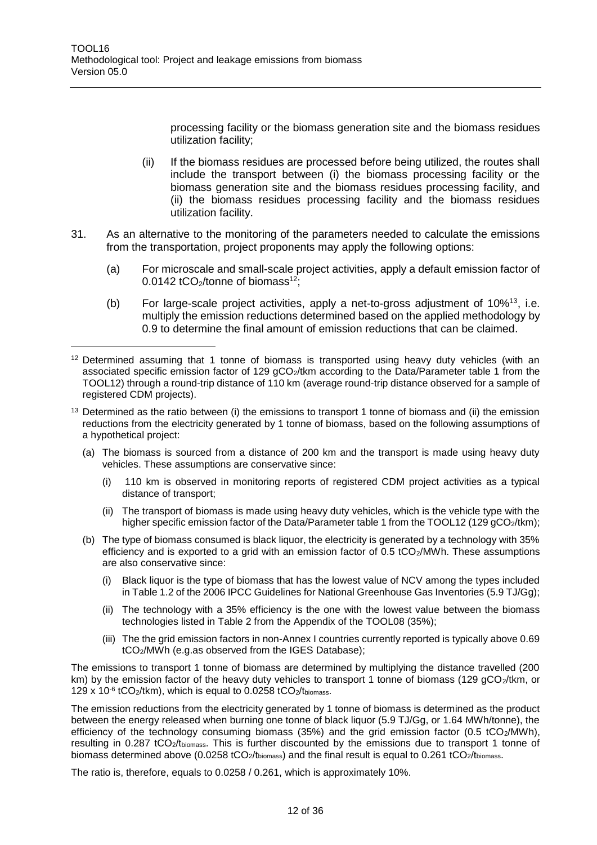$\overline{a}$ 

processing facility or the biomass generation site and the biomass residues utilization facility;

- (ii) If the biomass residues are processed before being utilized, the routes shall include the transport between (i) the biomass processing facility or the biomass generation site and the biomass residues processing facility, and (ii) the biomass residues processing facility and the biomass residues utilization facility.
- <span id="page-11-0"></span>31. As an alternative to the monitoring of the parameters needed to calculate the emissions from the transportation, project proponents may apply the following options:
	- (a) For microscale and small-scale project activities, apply a default emission factor of 0.0142  $tCO$  $/$ tonne of biomass<sup>12</sup>:
	- (b) For large-scale project activities, apply a net-to-gross adjustment of 10%<sup>13</sup>, i.e. multiply the emission reductions determined based on the applied methodology by 0.9 to determine the final amount of emission reductions that can be claimed.

- <sup>13</sup> Determined as the ratio between (i) the emissions to transport 1 tonne of biomass and (ii) the emission reductions from the electricity generated by 1 tonne of biomass, based on the following assumptions of a hypothetical project:
	- (a) The biomass is sourced from a distance of 200 km and the transport is made using heavy duty vehicles. These assumptions are conservative since:
		- (i) 110 km is observed in monitoring reports of registered CDM project activities as a typical distance of transport;
		- (ii) The transport of biomass is made using heavy duty vehicles, which is the vehicle type with the higher specific emission factor of the Data/Parameter table 1 from the TOOL12 (129 gCO<sub>2</sub>/tkm);
	- (b) The type of biomass consumed is black liquor, the electricity is generated by a technology with 35% efficiency and is exported to a grid with an emission factor of  $0.5 \text{ tCO}_2/\text{MWh}$ . These assumptions are also conservative since:
		- (i) Black liquor is the type of biomass that has the lowest value of NCV among the types included in Table 1.2 of the 2006 IPCC Guidelines for National Greenhouse Gas Inventories (5.9 TJ/Gg);
		- (ii) The technology with a 35% efficiency is the one with the lowest value between the biomass technologies listed in Table 2 from the Appendix of the TOOL08 (35%);
		- (iii) The the grid emission factors in non-Annex I countries currently reported is typically above 0.69 tCO2/MWh (e.g.as observed from the IGES Database);

The emissions to transport 1 tonne of biomass are determined by multiplying the distance travelled (200 km) by the emission factor of the heavy duty vehicles to transport 1 tonne of biomass (129 gCO<sub>2</sub>/tkm, or 129 x 10 $-6$  tCO<sub>2</sub>/tkm), which is equal to 0.0258 tCO<sub>2</sub>/tbiomass.

The emission reductions from the electricity generated by 1 tonne of biomass is determined as the product between the energy released when burning one tonne of black liquor (5.9 TJ/Gg, or 1.64 MWh/tonne), the efficiency of the technology consuming biomass (35%) and the grid emission factor (0.5 tCO<sub>2</sub>/MWh), resulting in 0.287 tCO2/tbiomass. This is further discounted by the emissions due to transport 1 tonne of biomass determined above (0.0258 tCO<sub>2</sub>/t<sub>biomass</sub>) and the final result is equal to 0.261 tCO<sub>2</sub>/t<sub>biomass</sub>.

The ratio is, therefore, equals to 0.0258 / 0.261, which is approximately 10%.

<sup>&</sup>lt;sup>12</sup> Determined assuming that 1 tonne of biomass is transported using heavy duty vehicles (with an associated specific emission factor of 129 gCO<sub>2</sub>/tkm according to the Data/Parameter table 1 from the TOOL12) through a round-trip distance of 110 km (average round-trip distance observed for a sample of registered CDM projects).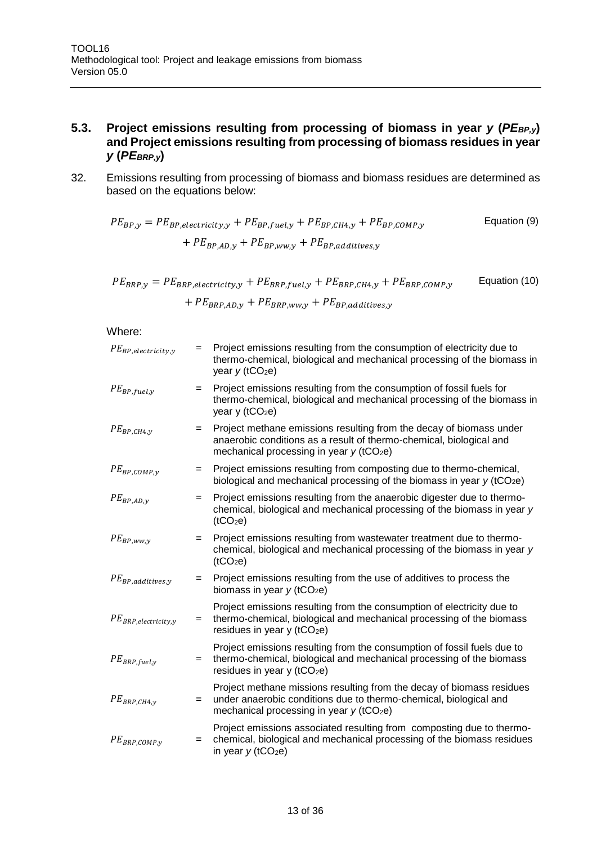#### <span id="page-12-0"></span>**5.3. Project emissions resulting from processing of biomass in year** *y* **(***PEBP,y***) and Project emissions resulting from processing of biomass residues in year**  *y* **(***PEBRP,y***)**

32. Emissions resulting from processing of biomass and biomass residues are determined as based on the equations below:

$$
PE_{BP,y} = PE_{BP,electricity,y} + PE_{BP,fuel,y} + PE_{BP,CH4,y} + PE_{BP,COMP,y}
$$
 Equation (9)  
+ 
$$
PE_{BP,AD,y} + PE_{BP,ww,y} + PE_{BP,additives,y}
$$

 $PE_{BRP,y} = PE_{BRP, electricity,y} + PE_{BRP, fuel,y} + PE_{BRP, CH4,y} + PE_{BRP, COMP,y}$ +  $PE_{BRP, AD,y}$  +  $PE_{BRP,WW,y}$  +  $PE_{BP,additives,y}$ Equation (10)

#### Where:

| $PE_{BP, electricity,y}$  | $=$ | Project emissions resulting from the consumption of electricity due to<br>thermo-chemical, biological and mechanical processing of the biomass in<br>year $y$ (tCO <sub>2</sub> e)                   |
|---------------------------|-----|------------------------------------------------------------------------------------------------------------------------------------------------------------------------------------------------------|
| $PE_{BP, fuel, y}$        | $=$ | Project emissions resulting from the consumption of fossil fuels for<br>thermo-chemical, biological and mechanical processing of the biomass in<br>year y (tCO <sub>2</sub> e)                       |
| $PE_{BP,CH4,y}$           | $=$ | Project methane emissions resulting from the decay of biomass under<br>anaerobic conditions as a result of thermo-chemical, biological and<br>mechanical processing in year $y$ (tCO <sub>2</sub> e) |
| $PE_{BP,COMP,y}$          | $=$ | Project emissions resulting from composting due to thermo-chemical,<br>biological and mechanical processing of the biomass in year $y$ (tCO <sub>2</sub> e)                                          |
| $PE_{BP,AD,y}$            | $=$ | Project emissions resulting from the anaerobic digester due to thermo-<br>chemical, biological and mechanical processing of the biomass in year y<br>(tCO <sub>2</sub> e)                            |
| $PE_{BP,ww,y}$            | $=$ | Project emissions resulting from wastewater treatment due to thermo-<br>chemical, biological and mechanical processing of the biomass in year y<br>(tCO <sub>2</sub> e)                              |
| $PE_{BP,additives,y}$     | $=$ | Project emissions resulting from the use of additives to process the<br>biomass in year $y$ (tCO <sub>2</sub> e)                                                                                     |
| $PE_{BRP, electricity,y}$ | $=$ | Project emissions resulting from the consumption of electricity due to<br>thermo-chemical, biological and mechanical processing of the biomass<br>residues in year $y$ (tCO <sub>2</sub> e)          |
| $PE_{BRP, fuel, y}$       | $=$ | Project emissions resulting from the consumption of fossil fuels due to<br>thermo-chemical, biological and mechanical processing of the biomass<br>residues in year $y$ (tCO <sub>2</sub> e)         |
| $PE_{BRP,CH4,y}$          | $=$ | Project methane missions resulting from the decay of biomass residues<br>under anaerobic conditions due to thermo-chemical, biological and<br>mechanical processing in year $y$ (tCO <sub>2</sub> e) |
| $PE_{BRP,COMP,y}$         | $=$ | Project emissions associated resulting from composting due to thermo-<br>chemical, biological and mechanical processing of the biomass residues<br>in year $y$ (tCO <sub>2</sub> e)                  |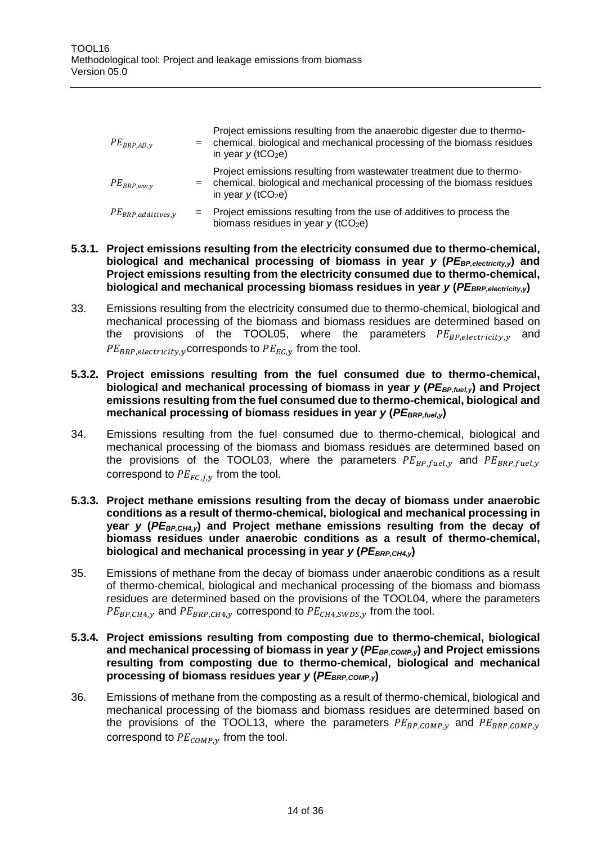| $PE_{BRP,AD,y}$        | $=$ $-$ | Project emissions resulting from the anaerobic digester due to thermo-<br>chemical, biological and mechanical processing of the biomass residues<br>in year $v$ (tCO <sub>2</sub> e) |
|------------------------|---------|--------------------------------------------------------------------------------------------------------------------------------------------------------------------------------------|
| $PE_{BRP,ww,y}$        | $=$     | Project emissions resulting from wastewater treatment due to thermo-<br>chemical, biological and mechanical processing of the biomass residues<br>in year $v$ (tCO <sub>2</sub> e)   |
| $PE_{BRP,additives,y}$ | $=$ $-$ | Project emissions resulting from the use of additives to process the<br>biomass residues in year $y$ (tCO <sub>2</sub> e)                                                            |

#### **5.3.1. Project emissions resulting from the electricity consumed due to thermo-chemical, biological and mechanical processing of biomass in year** *y* **(***PEBP,electricity,y***) and Project emissions resulting from the electricity consumed due to thermo-chemical, biological and mechanical processing biomass residues in year** *y* **(***PEBRP,electricity,y***)**

33. Emissions resulting from the electricity consumed due to thermo-chemical, biological and mechanical processing of the biomass and biomass residues are determined based on the provisions of the TOOL05, where the parameters  $PE_{BP, electricity, y}$  and  $PE_{BRP, electricity,y}$  corresponds to  $PE_{EC,y}$  from the tool.

#### **5.3.2. Project emissions resulting from the fuel consumed due to thermo-chemical, biological and mechanical processing of biomass in year** *y* **(***PEBP,fuel,y***) and Project emissions resulting from the fuel consumed due to thermo-chemical, biological and mechanical processing of biomass residues in year** *y* **(***PEBRP,fuel,y***)**

- 34. Emissions resulting from the fuel consumed due to thermo-chemical, biological and mechanical processing of the biomass and biomass residues are determined based on the provisions of the TOOL03, where the parameters  $PE_{BP, fuel, v}$  and  $PE_{BRP, fuel, v}$ correspond to  $PE_{FC,i,v}$  from the tool.
- **5.3.3. Project methane emissions resulting from the decay of biomass under anaerobic conditions as a result of thermo-chemical, biological and mechanical processing in year** *y* **(***PEBP,CH4,y***) and Project methane emissions resulting from the decay of biomass residues under anaerobic conditions as a result of thermo-chemical, biological and mechanical processing in year** *y* **(***PE<sub>BRP,CH4,v***)</sub>**
- 35. Emissions of methane from the decay of biomass under anaerobic conditions as a result of thermo-chemical, biological and mechanical processing of the biomass and biomass residues are determined based on the provisions of the TOOL04, where the parameters  $PE_{BP,CH4,y}$  and  $PE_{BRP,CH4,y}$  correspond to  $PE_{CH4,SWDS,y}$  from the tool.

#### **5.3.4. Project emissions resulting from composting due to thermo-chemical, biological and mechanical processing of biomass in year** *y* **(***PEBP,COMP,y***) and Project emissions resulting from composting due to thermo-chemical, biological and mechanical processing of biomass residues year** *y* **(***PEBRP,COMP,y***)**

36. Emissions of methane from the composting as a result of thermo-chemical, biological and mechanical processing of the biomass and biomass residues are determined based on the provisions of the TOOL13, where the parameters  $PE_{BP,COMP,y}$  and  $PE_{BRP,COMP,y}$ correspond to  $PE_{COMP,y}$  from the tool.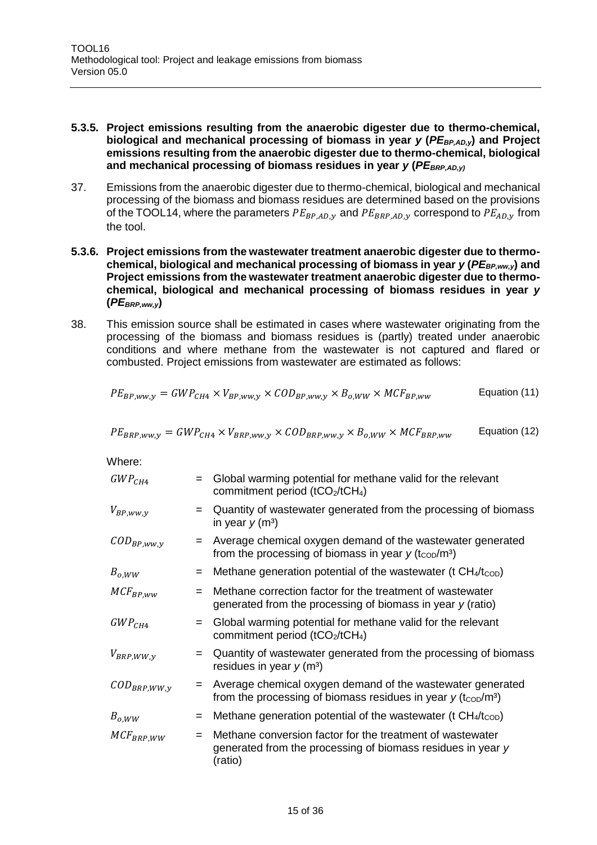#### **5.3.5. Project emissions resulting from the anaerobic digester due to thermo-chemical, biological and mechanical processing of biomass in year** *y* **(***PEBP,AD,y***) and Project emissions resulting from the anaerobic digester due to thermo-chemical, biological**  and mechanical processing of biomass residues in year  $y$  (PE<sub>BRP,AD,v)</sub>

- 37. Emissions from the anaerobic digester due to thermo-chemical, biological and mechanical processing of the biomass and biomass residues are determined based on the provisions of the TOOL14, where the parameters  $PE_{BP,AD,V}$  and  $PE_{BRP,AD,V}$  correspond to  $PE_{AD,V}$  from the tool.
- **5.3.6. Project emissions from the wastewater treatment anaerobic digester due to thermo**chemical, biological and mechanical processing of biomass in year *y* (*PE*<sub>BP,ww,v</sub>) and **Project emissions from the wastewater treatment anaerobic digester due to thermochemical, biological and mechanical processing of biomass residues in year** *y* **(***PEBRP,ww,y***)**
- 38. This emission source shall be estimated in cases where wastewater originating from the processing of the biomass and biomass residues is (partly) treated under anaerobic conditions and where methane from the wastewater is not captured and flared or combusted. Project emissions from wastewater are estimated as follows:

$$
PE_{BP,ww,y} = GWP_{CH4} \times V_{BP,ww,y} \times COD_{BP,ww,y} \times B_{o,WW} \times MCF_{BP,ww}
$$
 Equation (11)

$$
PE_{BRP,ww,y} = GWP_{CH4} \times V_{BRP,ww,y} \times COD_{BRP,ww,y} \times B_{o,WW} \times MCF_{BRP,ww}
$$
 Equation (12)

Where:

| $GWP_{CH4}$                | $=$ | Global warming potential for methane valid for the relevant<br>commitment period ( $tCO2/tCH4$ )                                                      |
|----------------------------|-----|-------------------------------------------------------------------------------------------------------------------------------------------------------|
| $V_{BP,ww,y}$              | $=$ | Quantity of wastewater generated from the processing of biomass<br>in year $y(m^3)$                                                                   |
| $\mathcal{COD}_{BP,ww,y}$  | $=$ | Average chemical oxygen demand of the wastewater generated<br>from the processing of biomass in year $y$ (t <sub>cop</sub> /m <sup>3</sup> )          |
| $B_{o,WW}$                 | $=$ | Methane generation potential of the wastewater (t $CH_4/t_{\text{COD}}$ )                                                                             |
| $MCF_{BP,WW}$              | $=$ | Methane correction factor for the treatment of wastewater<br>generated from the processing of biomass in year $y$ (ratio)                             |
| $GWP_{CH4}$                | $=$ | Global warming potential for methane valid for the relevant<br>commitment period ( $tCO2/tCH4$ )                                                      |
| $V_{BRP,WW,y}$             | $=$ | Quantity of wastewater generated from the processing of biomass<br>residues in year $y$ (m <sup>3</sup> )                                             |
| $\mathcal{C}OD_{BRP.WW.v}$ | $=$ | Average chemical oxygen demand of the wastewater generated<br>from the processing of biomass residues in year $y$ (t <sub>cop</sub> /m <sup>3</sup> ) |
| $B_{o,WW}$                 | $=$ | Methane generation potential of the wastewater (t $CH_4/t_{\text{COD}}$ )                                                                             |
| $MCF_{BRP,WW}$             | $=$ | Methane conversion factor for the treatment of wastewater<br>generated from the processing of biomass residues in year y<br>(ratio)                   |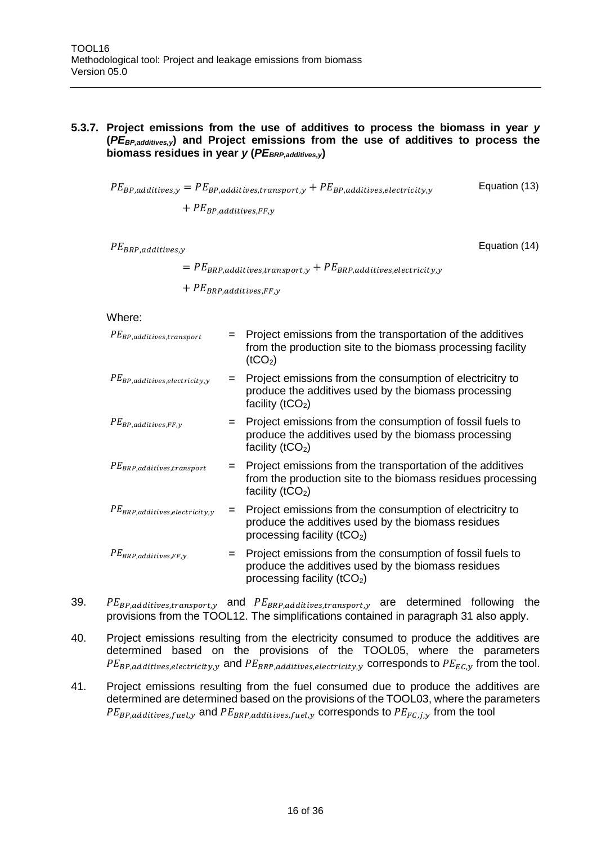#### **5.3.7. Project emissions from the use of additives to process the biomass in year** *y* **(***PEBP,additives,y***) and Project emissions from the use of additives to process the biomass residues in year** *y* **(***PEBRP,additives,y***)**

 $PE_{BP,additives,y} = PE_{BP,additives, transport,y} + PE_{BP,additives, electricity,y}$ Equation (13)

 $+$   $PE_{BP,additives.FF,v}$ 

 $PE_{BRP.additives.v}$ 

Equation (14)

 $= PE_{BRP,additives, transport, y} + PE_{BRP,additives, electricity, y}$ 

 $+$   $PE_{BRP,additives, FF,y}$ 

Where:

| $PE_{BP,additives, transport}$      | $=$ | Project emissions from the transportation of the additives<br>from the production site to the biomass processing facility<br>(tCO <sub>2</sub> )   |
|-------------------------------------|-----|----------------------------------------------------------------------------------------------------------------------------------------------------|
| $PE_{BP,additives, electricity,y}$  | $=$ | Project emissions from the consumption of electricitry to<br>produce the additives used by the biomass processing<br>facility ( $tCO2$ )           |
| $PE_{BP,additives, FF,y}$           | $=$ | Project emissions from the consumption of fossil fuels to<br>produce the additives used by the biomass processing<br>facility $(tCO2)$             |
| $PE_{BRP,additives, transport}$     |     | $=$ Project emissions from the transportation of the additives<br>from the production site to the biomass residues processing<br>facility $(tCO2)$ |
| $PE_{BRP,additives, electricity,y}$ | $=$ | Project emissions from the consumption of electricitry to<br>produce the additives used by the biomass residues<br>processing facility $(tCO2)$    |
| $PE_{BRP,additives, FF,y}$          | $=$ | Project emissions from the consumption of fossil fuels to<br>produce the additives used by the biomass residues<br>processing facility $(tCO2)$    |

- 39.  $PE_{BP, additive, transport, y}$  and  $PE_{BRP, additive, transport, y}$  are determined following the provisions from the TOOL12. The simplifications contained in paragraph [31](#page-11-0) also apply.
- 40. Project emissions resulting from the electricity consumed to produce the additives are determined based on the provisions of the TOOL05, where the parameters  $PE_{BP,additives, electricity, y}$  and  $PE_{BRP,additives, electricity, y}$  corresponds to  $PE_{EC, y}$  from the tool.
- 41. Project emissions resulting from the fuel consumed due to produce the additives are determined are determined based on the provisions of the TOOL03, where the parameters  $PE_{BP, additives, fuel, y}$  and  $PE_{BRP, additives, fuel, y}$  corresponds to  $PE_{FC,i,y}$  from the tool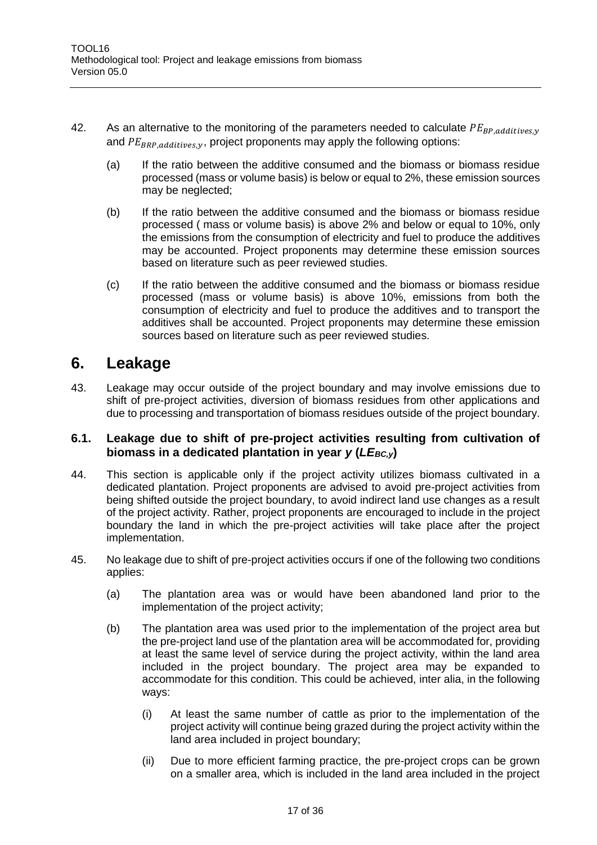- 42. As an alternative to the monitoring of the parameters needed to calculate  $PE_{BP,additives,y}$ and  $PE_{BRP,additives,y}$ , project proponents may apply the following options:
	- (a) If the ratio between the additive consumed and the biomass or biomass residue processed (mass or volume basis) is below or equal to 2%, these emission sources may be neglected;
	- (b) If the ratio between the additive consumed and the biomass or biomass residue processed ( mass or volume basis) is above 2% and below or equal to 10%, only the emissions from the consumption of electricity and fuel to produce the additives may be accounted. Project proponents may determine these emission sources based on literature such as peer reviewed studies.
	- (c) If the ratio between the additive consumed and the biomass or biomass residue processed (mass or volume basis) is above 10%, emissions from both the consumption of electricity and fuel to produce the additives and to transport the additives shall be accounted. Project proponents may determine these emission sources based on literature such as peer reviewed studies.

### <span id="page-16-0"></span>**6. Leakage**

43. Leakage may occur outside of the project boundary and may involve emissions due to shift of pre-project activities, diversion of biomass residues from other applications and due to processing and transportation of biomass residues outside of the project boundary.

#### <span id="page-16-1"></span>**6.1. Leakage due to shift of pre-project activities resulting from cultivation of biomass in a dedicated plantation in year** *y* **(***LE<sub>BC,y</sub>***)**

- 44. This section is applicable only if the project activity utilizes biomass cultivated in a dedicated plantation. Project proponents are advised to avoid pre-project activities from being shifted outside the project boundary, to avoid indirect land use changes as a result of the project activity. Rather, project proponents are encouraged to include in the project boundary the land in which the pre-project activities will take place after the project implementation.
- 45. No leakage due to shift of pre-project activities occurs if one of the following two conditions applies:
	- (a) The plantation area was or would have been abandoned land prior to the implementation of the project activity;
	- (b) The plantation area was used prior to the implementation of the project area but the pre-project land use of the plantation area will be accommodated for, providing at least the same level of service during the project activity, within the land area included in the project boundary. The project area may be expanded to accommodate for this condition. This could be achieved, inter alia, in the following ways:
		- (i) At least the same number of cattle as prior to the implementation of the project activity will continue being grazed during the project activity within the land area included in project boundary;
		- (ii) Due to more efficient farming practice, the pre-project crops can be grown on a smaller area, which is included in the land area included in the project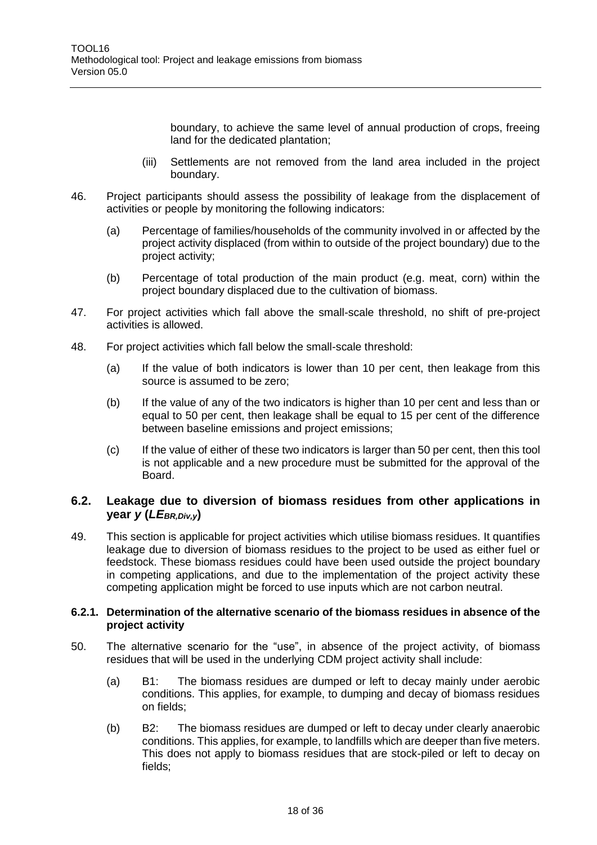boundary, to achieve the same level of annual production of crops, freeing land for the dedicated plantation;

- (iii) Settlements are not removed from the land area included in the project boundary.
- 46. Project participants should assess the possibility of leakage from the displacement of activities or people by monitoring the following indicators:
	- (a) Percentage of families/households of the community involved in or affected by the project activity displaced (from within to outside of the project boundary) due to the project activity;
	- (b) Percentage of total production of the main product (e.g. meat, corn) within the project boundary displaced due to the cultivation of biomass.
- 47. For project activities which fall above the small-scale threshold, no shift of pre-project activities is allowed.
- 48. For project activities which fall below the small-scale threshold:
	- (a) If the value of both indicators is lower than 10 per cent, then leakage from this source is assumed to be zero;
	- (b) If the value of any of the two indicators is higher than 10 per cent and less than or equal to 50 per cent, then leakage shall be equal to 15 per cent of the difference between baseline emissions and project emissions;
	- (c) If the value of either of these two indicators is larger than 50 per cent, then this tool is not applicable and a new procedure must be submitted for the approval of the Board.

#### <span id="page-17-0"></span>**6.2. Leakage due to diversion of biomass residues from other applications in year** *y* **(***LEBR,Div,y***)**

49. This section is applicable for project activities which utilise biomass residues. It quantifies leakage due to diversion of biomass residues to the project to be used as either fuel or feedstock. These biomass residues could have been used outside the project boundary in competing applications, and due to the implementation of the project activity these competing application might be forced to use inputs which are not carbon neutral.

#### **6.2.1. Determination of the alternative scenario of the biomass residues in absence of the project activity**

- <span id="page-17-1"></span>50. The alternative scenario for the "use", in absence of the project activity, of biomass residues that will be used in the underlying CDM project activity shall include:
	- (a) B1: The biomass residues are dumped or left to decay mainly under aerobic conditions. This applies, for example, to dumping and decay of biomass residues on fields;
	- (b) B2: The biomass residues are dumped or left to decay under clearly anaerobic conditions. This applies, for example, to landfills which are deeper than five meters. This does not apply to biomass residues that are stock-piled or left to decay on fields;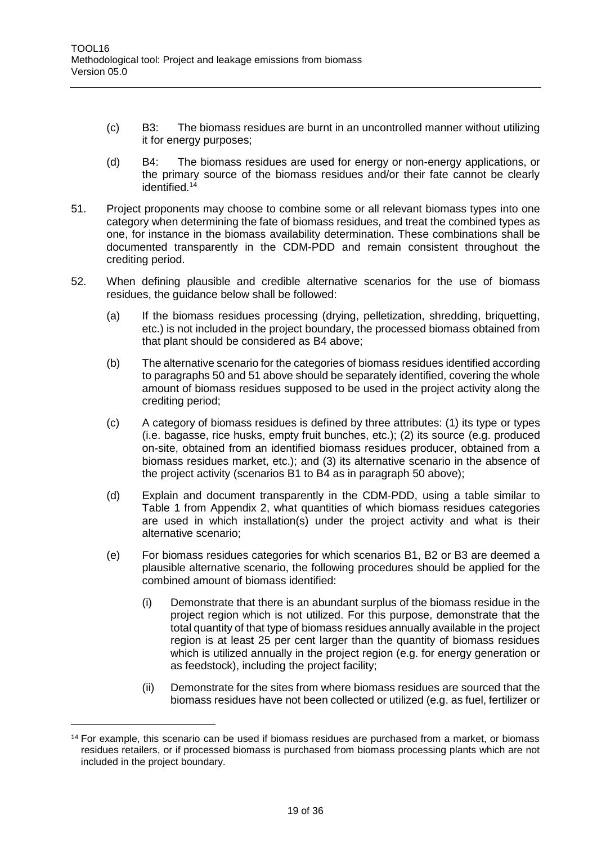- (c) B3: The biomass residues are burnt in an uncontrolled manner without utilizing it for energy purposes;
- (d) B4: The biomass residues are used for energy or non-energy applications, or the primary source of the biomass residues and/or their fate cannot be clearly identified.<sup>14</sup>
- <span id="page-18-0"></span>51. Project proponents may choose to combine some or all relevant biomass types into one category when determining the fate of biomass residues, and treat the combined types as one, for instance in the biomass availability determination. These combinations shall be documented transparently in the CDM-PDD and remain consistent throughout the crediting period.
- 52. When defining plausible and credible alternative scenarios for the use of biomass residues, the guidance below shall be followed:
	- (a) If the biomass residues processing (drying, pelletization, shredding, briquetting, etc.) is not included in the project boundary, the processed biomass obtained from that plant should be considered as B4 above;
	- (b) The alternative scenario for the categories of biomass residues identified according to paragraphs [50](#page-17-1) an[d 51](#page-18-0) above should be separately identified, covering the whole amount of biomass residues supposed to be used in the project activity along the crediting period;
	- (c) A category of biomass residues is defined by three attributes: (1) its type or types (i.e. bagasse, rice husks, empty fruit bunches, etc.); (2) its source (e.g. produced on-site, obtained from an identified biomass residues producer, obtained from a biomass residues market, etc.); and (3) its alternative scenario in the absence of the project activity (scenarios B1 to B4 as in paragraph [50](#page-17-1) above);
	- (d) Explain and document transparently in the CDM-PDD, using a table similar to Table 1 from Appendix 2, what quantities of which biomass residues categories are used in which installation(s) under the project activity and what is their alternative scenario;
	- (e) For biomass residues categories for which scenarios B1, B2 or B3 are deemed a plausible alternative scenario, the following procedures should be applied for the combined amount of biomass identified:
		- (i) Demonstrate that there is an abundant surplus of the biomass residue in the project region which is not utilized. For this purpose, demonstrate that the total quantity of that type of biomass residues annually available in the project region is at least 25 per cent larger than the quantity of biomass residues which is utilized annually in the project region (e.g. for energy generation or as feedstock), including the project facility;
		- (ii) Demonstrate for the sites from where biomass residues are sourced that the biomass residues have not been collected or utilized (e.g. as fuel, fertilizer or

 $\overline{a}$ 

<sup>14</sup> For example, this scenario can be used if biomass residues are purchased from a market, or biomass residues retailers, or if processed biomass is purchased from biomass processing plants which are not included in the project boundary.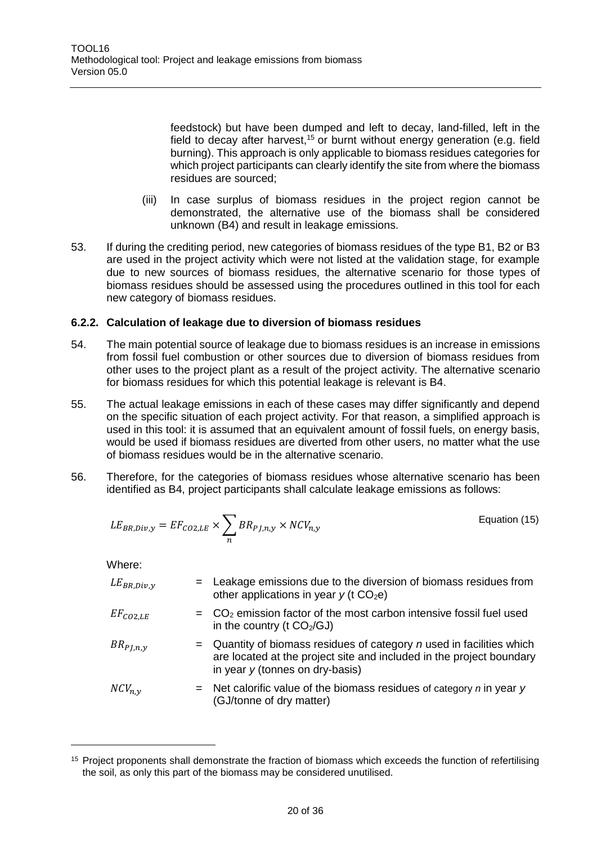feedstock) but have been dumped and left to decay, land-filled, left in the field to decay after harvest,<sup>15</sup> or burnt without energy generation (e.g. field burning). This approach is only applicable to biomass residues categories for which project participants can clearly identify the site from where the biomass residues are sourced;

- (iii) In case surplus of biomass residues in the project region cannot be demonstrated, the alternative use of the biomass shall be considered unknown (B4) and result in leakage emissions.
- 53. If during the crediting period, new categories of biomass residues of the type B1, B2 or B3 are used in the project activity which were not listed at the validation stage, for example due to new sources of biomass residues, the alternative scenario for those types of biomass residues should be assessed using the procedures outlined in this tool for each new category of biomass residues.

#### **6.2.2. Calculation of leakage due to diversion of biomass residues**

- 54. The main potential source of leakage due to biomass residues is an increase in emissions from fossil fuel combustion or other sources due to diversion of biomass residues from other uses to the project plant as a result of the project activity. The alternative scenario for biomass residues for which this potential leakage is relevant is B4.
- 55. The actual leakage emissions in each of these cases may differ significantly and depend on the specific situation of each project activity. For that reason, a simplified approach is used in this tool: it is assumed that an equivalent amount of fossil fuels, on energy basis, would be used if biomass residues are diverted from other users, no matter what the use of biomass residues would be in the alternative scenario.
- 56. Therefore, for the categories of biomass residues whose alternative scenario has been identified as B4, project participants shall calculate leakage emissions as follows:

$$
LE_{BR,Div,y} = EF_{CO2,LE} \times \sum_{n} BR_{PJ,n,y} \times NCV_{n,y}
$$
 Equation (15)

Where:

| $LE_{BR,Div,y}$ | = Leakage emissions due to the diversion of biomass residues from<br>other applications in year $y$ (t CO <sub>2</sub> e)                                                              |
|-----------------|----------------------------------------------------------------------------------------------------------------------------------------------------------------------------------------|
| $EF_{CO2,LE}$   | $=$ $CO2$ emission factor of the most carbon intensive fossil fuel used<br>in the country (t $CO2/GJ$ )                                                                                |
| $BR_{PI,n,y}$   | $=$ Quantity of biomass residues of category $n$ used in facilities which<br>are located at the project site and included in the project boundary<br>in year $y$ (tonnes on dry-basis) |
| $NCV_{n,v}$     | $=$ Net calorific value of the biomass residues of category n in year y<br>(GJ/tonne of dry matter)                                                                                    |

<sup>&</sup>lt;sup>15</sup> Project proponents shall demonstrate the fraction of biomass which exceeds the function of refertilising the soil, as only this part of the biomass may be considered unutilised.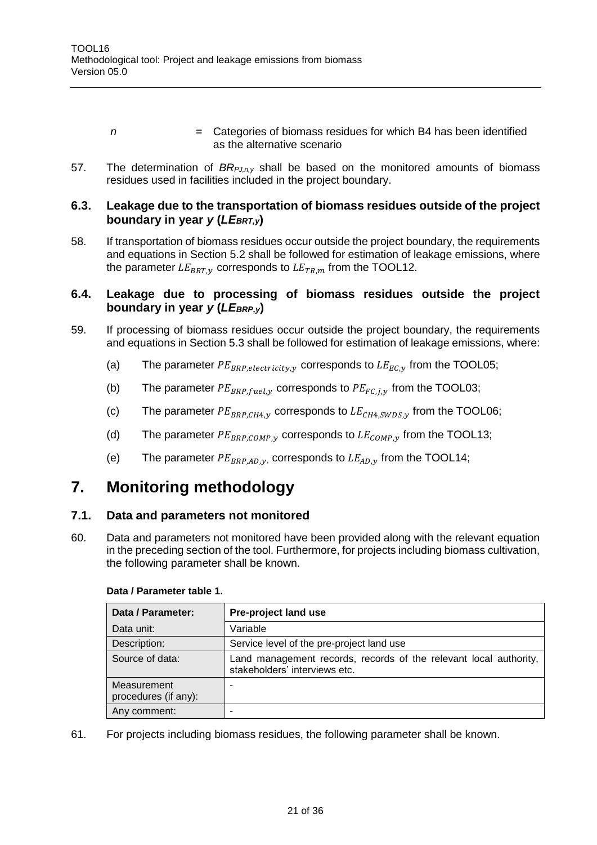- *n*  $=$  Categories of biomass residues for which B4 has been identified as the alternative scenario
- 57. The determination of *BRPJ,n,y* shall be based on the monitored amounts of biomass residues used in facilities included in the project boundary.

#### <span id="page-20-0"></span>**6.3. Leakage due to the transportation of biomass residues outside of the project**  *boundary in year y (LE<sub>BRT,v</sub>)*

58. If transportation of biomass residues occur outside the project boundary, the requirements and equations in Section 5.2 shall be followed for estimation of leakage emissions, where the parameter  $LE_{BRT,v}$  corresponds to  $LE_{TR,m}$  from the TOOL12.

#### <span id="page-20-1"></span>**6.4. Leakage due to processing of biomass residues outside the project boundary in year** *y* **(***LEBRP,y***)**

- 59. If processing of biomass residues occur outside the project boundary, the requirements and equations in Section 5.3 shall be followed for estimation of leakage emissions, where:
	- (a) The parameter  $PE_{BRP, electricity, y}$  corresponds to  $LE_{EC, y}$  from the TOOL05;
	- (b) The parameter  $PE_{BRP, fuel,v}$  corresponds to  $PE_{FC,i,v}$  from the TOOL03;
	- (c) The parameter  $PE_{BRP,CH4,y}$  corresponds to  $LE_{CH4.SWDS,y}$  from the TOOL06;
	- (d) The parameter  $PE_{BRP, COMPN}$  corresponds to  $LE_{COMP,V}$  from the TOOL13;
	- (e) The parameter  $PE_{BRP,AD,y}$ , corresponds to  $LE_{AD,y}$  from the TOOL14;

### <span id="page-20-2"></span>**7. Monitoring methodology**

#### <span id="page-20-3"></span>**7.1. Data and parameters not monitored**

60. Data and parameters not monitored have been provided along with the relevant equation in the preceding section of the tool. Furthermore, for projects including biomass cultivation, the following parameter shall be known.

| Data / Parameter:                   | Pre-project land use                                                                               |
|-------------------------------------|----------------------------------------------------------------------------------------------------|
| Data unit:                          | Variable                                                                                           |
| Description:                        | Service level of the pre-project land use                                                          |
| Source of data:                     | Land management records, records of the relevant local authority,<br>stakeholders' interviews etc. |
| Measurement<br>procedures (if any): |                                                                                                    |
| Any comment:                        |                                                                                                    |

#### **Data / Parameter table 1.**

61. For projects including biomass residues, the following parameter shall be known.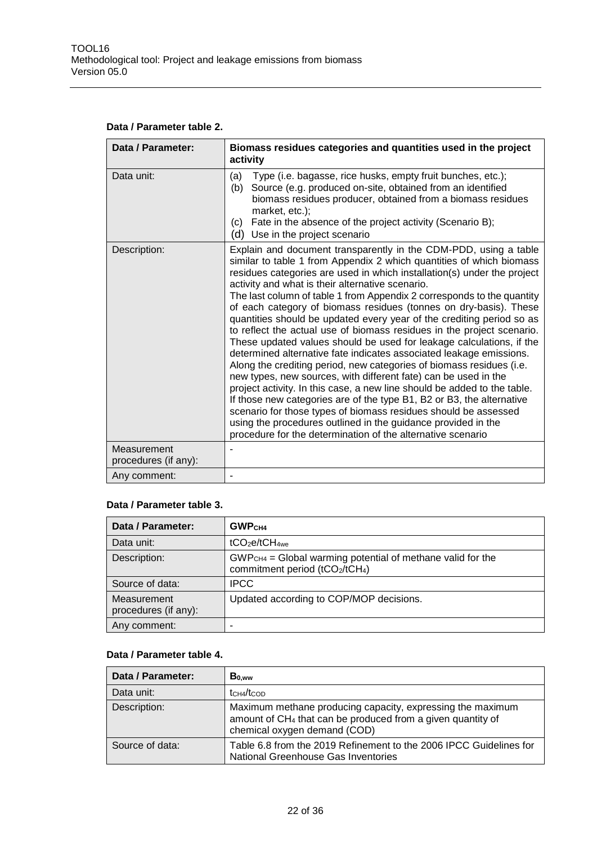#### **Data / Parameter table 2.**

| Data / Parameter:                   | Biomass residues categories and quantities used in the project<br>activity                                                                                                                                                                                                                                                                                                                                                                                                                                                                                                                                                                                                                                                                                                                                                                                                                                                                                                                                                                                                                                                                                                                                                  |
|-------------------------------------|-----------------------------------------------------------------------------------------------------------------------------------------------------------------------------------------------------------------------------------------------------------------------------------------------------------------------------------------------------------------------------------------------------------------------------------------------------------------------------------------------------------------------------------------------------------------------------------------------------------------------------------------------------------------------------------------------------------------------------------------------------------------------------------------------------------------------------------------------------------------------------------------------------------------------------------------------------------------------------------------------------------------------------------------------------------------------------------------------------------------------------------------------------------------------------------------------------------------------------|
| Data unit:                          | Type (i.e. bagasse, rice husks, empty fruit bunches, etc.);<br>(a)<br>Source (e.g. produced on-site, obtained from an identified<br>(b)<br>biomass residues producer, obtained from a biomass residues<br>market, etc.);<br>Fate in the absence of the project activity (Scenario B);<br>(c)<br>Use in the project scenario<br>(d)                                                                                                                                                                                                                                                                                                                                                                                                                                                                                                                                                                                                                                                                                                                                                                                                                                                                                          |
| Description:                        | Explain and document transparently in the CDM-PDD, using a table<br>similar to table 1 from Appendix 2 which quantities of which biomass<br>residues categories are used in which installation(s) under the project<br>activity and what is their alternative scenario.<br>The last column of table 1 from Appendix 2 corresponds to the quantity<br>of each category of biomass residues (tonnes on dry-basis). These<br>quantities should be updated every year of the crediting period so as<br>to reflect the actual use of biomass residues in the project scenario.<br>These updated values should be used for leakage calculations, if the<br>determined alternative fate indicates associated leakage emissions.<br>Along the crediting period, new categories of biomass residues (i.e.<br>new types, new sources, with different fate) can be used in the<br>project activity. In this case, a new line should be added to the table.<br>If those new categories are of the type B1, B2 or B3, the alternative<br>scenario for those types of biomass residues should be assessed<br>using the procedures outlined in the guidance provided in the<br>procedure for the determination of the alternative scenario |
| Measurement<br>procedures (if any): |                                                                                                                                                                                                                                                                                                                                                                                                                                                                                                                                                                                                                                                                                                                                                                                                                                                                                                                                                                                                                                                                                                                                                                                                                             |
| Any comment:                        | Ĭ.                                                                                                                                                                                                                                                                                                                                                                                                                                                                                                                                                                                                                                                                                                                                                                                                                                                                                                                                                                                                                                                                                                                                                                                                                          |

#### **Data / Parameter table 3.**

| Data / Parameter:                   | GWP <sub>CH4</sub>                                                                                         |
|-------------------------------------|------------------------------------------------------------------------------------------------------------|
| Data unit:                          | tCO <sub>2</sub> e/tCH <sub>4we</sub>                                                                      |
| Description:                        | $GWPCH4 = Global warning potential of methane valid for the$<br>commitment period (tCO2/tCH <sub>4</sub> ) |
| Source of data:                     | IPCC                                                                                                       |
| Measurement<br>procedures (if any): | Updated according to COP/MOP decisions.                                                                    |
| Any comment:                        | -                                                                                                          |

#### **Data / Parameter table 4.**

| Data / Parameter: | $B_{0,ww}$                                                                                                                                                            |
|-------------------|-----------------------------------------------------------------------------------------------------------------------------------------------------------------------|
| Data unit:        | t <sub>CH4</sub> /t <sub>COD</sub>                                                                                                                                    |
| Description:      | Maximum methane producing capacity, expressing the maximum<br>amount of CH <sub>4</sub> that can be produced from a given quantity of<br>chemical oxygen demand (COD) |
| Source of data:   | Table 6.8 from the 2019 Refinement to the 2006 IPCC Guidelines for<br>National Greenhouse Gas Inventories                                                             |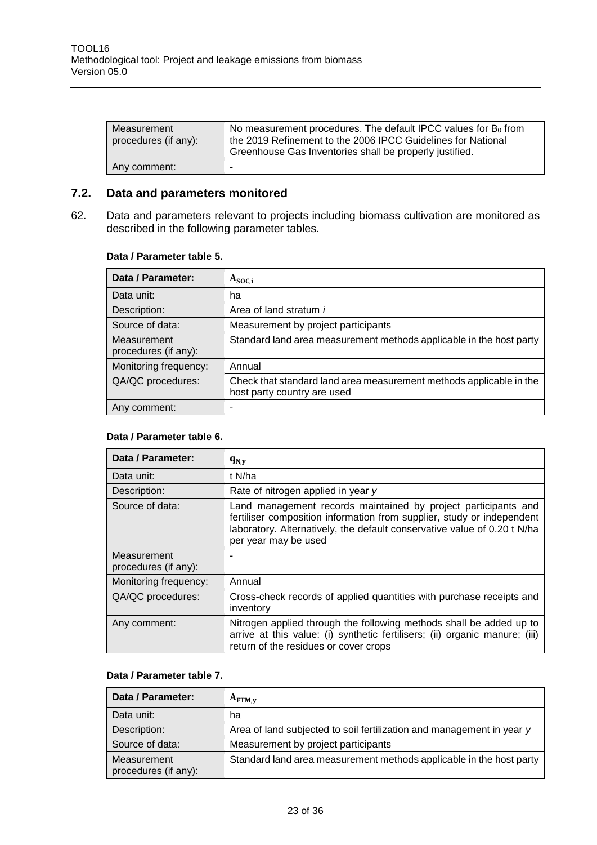| Measurement<br>procedures (if any): | No measurement procedures. The default IPCC values for B <sub>0</sub> from<br>the 2019 Refinement to the 2006 IPCC Guidelines for National<br>Greenhouse Gas Inventories shall be properly justified. |
|-------------------------------------|-------------------------------------------------------------------------------------------------------------------------------------------------------------------------------------------------------|
| Any comment:                        | -                                                                                                                                                                                                     |

#### <span id="page-22-0"></span>**7.2. Data and parameters monitored**

62. Data and parameters relevant to projects including biomass cultivation are monitored as described in the following parameter tables.

#### **Data / Parameter table 5.**

| Data / Parameter:                   | $A_{SOC,i}$                                                                                        |
|-------------------------------------|----------------------------------------------------------------------------------------------------|
| Data unit:                          | ha                                                                                                 |
| Description:                        | Area of land stratum i                                                                             |
| Source of data:                     | Measurement by project participants                                                                |
| Measurement<br>procedures (if any): | Standard land area measurement methods applicable in the host party                                |
| Monitoring frequency:               | Annual                                                                                             |
| QA/QC procedures:                   | Check that standard land area measurement methods applicable in the<br>host party country are used |
| Any comment:                        |                                                                                                    |

#### **Data / Parameter table 6.**

| Data / Parameter:                   | $\mathbf{q}_{N,\mathbf{v}}$                                                                                                                                                                                                                  |
|-------------------------------------|----------------------------------------------------------------------------------------------------------------------------------------------------------------------------------------------------------------------------------------------|
| Data unit:                          | t N/ha                                                                                                                                                                                                                                       |
| Description:                        | Rate of nitrogen applied in year y                                                                                                                                                                                                           |
| Source of data:                     | Land management records maintained by project participants and<br>fertiliser composition information from supplier, study or independent<br>laboratory. Alternatively, the default conservative value of 0.20 t N/ha<br>per year may be used |
| Measurement<br>procedures (if any): |                                                                                                                                                                                                                                              |
| Monitoring frequency:               | Annual                                                                                                                                                                                                                                       |
| QA/QC procedures:                   | Cross-check records of applied quantities with purchase receipts and<br>inventory                                                                                                                                                            |
| Any comment:                        | Nitrogen applied through the following methods shall be added up to<br>arrive at this value: (i) synthetic fertilisers; (ii) organic manure; (iii)<br>return of the residues or cover crops                                                  |

#### **Data / Parameter table 7.**

| Data / Parameter:                   | $A_{\text{FTM.v}}$                                                    |
|-------------------------------------|-----------------------------------------------------------------------|
| Data unit:                          | ha                                                                    |
| Description:                        | Area of land subjected to soil fertilization and management in year y |
| Source of data:                     | Measurement by project participants                                   |
| Measurement<br>procedures (if any): | Standard land area measurement methods applicable in the host party   |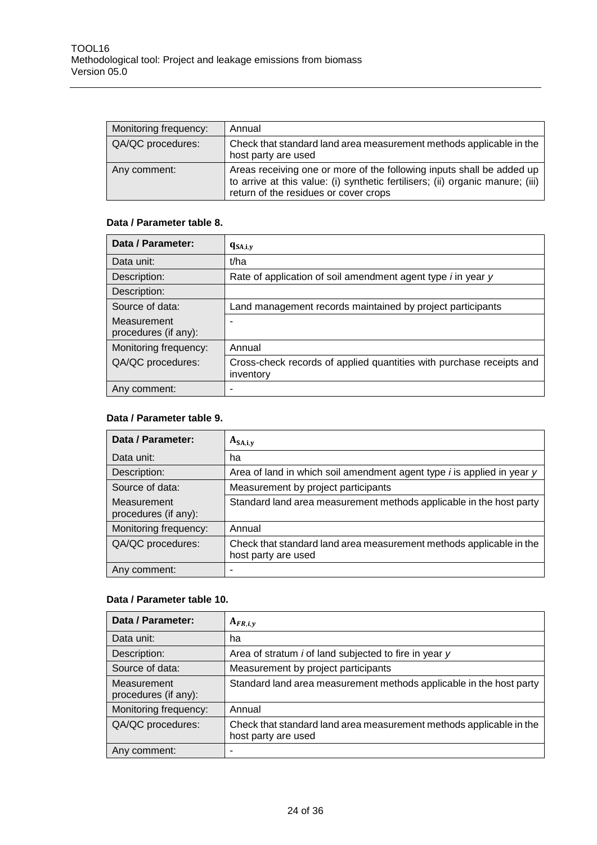| Monitoring frequency: | Annual                                                                                                                                                                                           |
|-----------------------|--------------------------------------------------------------------------------------------------------------------------------------------------------------------------------------------------|
| QA/QC procedures:     | Check that standard land area measurement methods applicable in the<br>host party are used                                                                                                       |
| Any comment:          | Areas receiving one or more of the following inputs shall be added up<br>to arrive at this value: (i) synthetic fertilisers; (ii) organic manure; (iii)<br>return of the residues or cover crops |

#### **Data / Parameter table 8.**

| Data / Parameter:                   | $q_{SA,i,y}$                                                                      |
|-------------------------------------|-----------------------------------------------------------------------------------|
| Data unit:                          | t/ha                                                                              |
| Description:                        | Rate of application of soil amendment agent type <i>i</i> in year y               |
| Description:                        |                                                                                   |
| Source of data:                     | Land management records maintained by project participants                        |
| Measurement<br>procedures (if any): |                                                                                   |
| Monitoring frequency:               | Annual                                                                            |
| QA/QC procedures:                   | Cross-check records of applied quantities with purchase receipts and<br>inventory |
| Any comment:                        |                                                                                   |

#### **Data / Parameter table 9.**

| Data / Parameter:                   | $A_{SA,i,y}$                                                                               |
|-------------------------------------|--------------------------------------------------------------------------------------------|
| Data unit:                          | ha                                                                                         |
| Description:                        | Area of land in which soil amendment agent type <i>i</i> is applied in year y              |
| Source of data:                     | Measurement by project participants                                                        |
| Measurement<br>procedures (if any): | Standard land area measurement methods applicable in the host party                        |
| Monitoring frequency:               | Annual                                                                                     |
| QA/QC procedures:                   | Check that standard land area measurement methods applicable in the<br>host party are used |
| Any comment:                        | -                                                                                          |

#### **Data / Parameter table 10.**

| Data / Parameter:                   | $A_{FR,i,y}$                                                                               |
|-------------------------------------|--------------------------------------------------------------------------------------------|
| Data unit:                          | ha                                                                                         |
| Description:                        | Area of stratum <i>i</i> of land subjected to fire in year y                               |
| Source of data:                     | Measurement by project participants                                                        |
| Measurement<br>procedures (if any): | Standard land area measurement methods applicable in the host party                        |
| Monitoring frequency:               | Annual                                                                                     |
| QA/QC procedures:                   | Check that standard land area measurement methods applicable in the<br>host party are used |
| Any comment:                        |                                                                                            |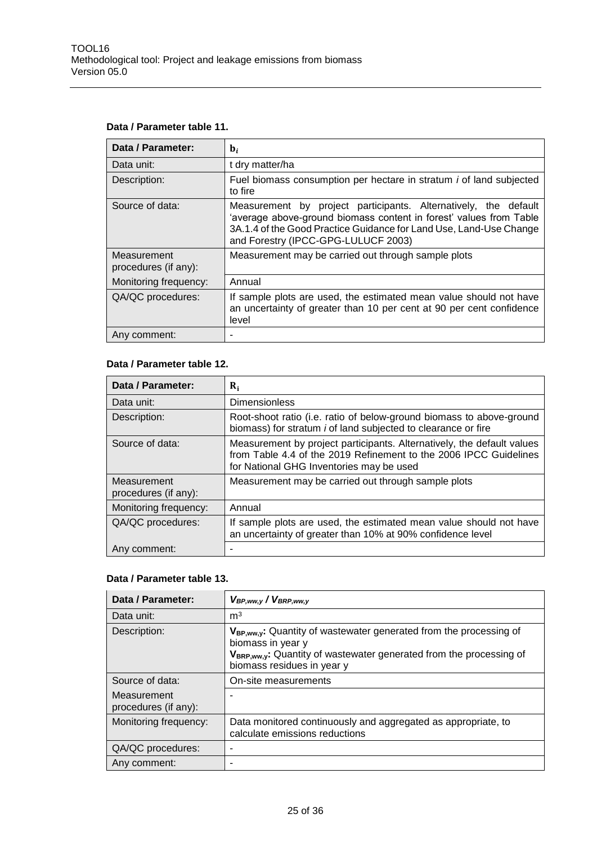#### **Data / Parameter table 11.**

| Data / Parameter:                   | $\mathbf{b}_i$                                                                                                                                                                                                                                     |
|-------------------------------------|----------------------------------------------------------------------------------------------------------------------------------------------------------------------------------------------------------------------------------------------------|
| Data unit:                          | t dry matter/ha                                                                                                                                                                                                                                    |
| Description:                        | Fuel biomass consumption per hectare in stratum <i>i</i> of land subjected<br>to fire                                                                                                                                                              |
| Source of data:                     | Measurement by project participants. Alternatively, the default<br>'average above-ground biomass content in forest' values from Table<br>3A.1.4 of the Good Practice Guidance for Land Use, Land-Use Change<br>and Forestry (IPCC-GPG-LULUCF 2003) |
| Measurement<br>procedures (if any): | Measurement may be carried out through sample plots                                                                                                                                                                                                |
| Monitoring frequency:               | Annual                                                                                                                                                                                                                                             |
| QA/QC procedures:                   | If sample plots are used, the estimated mean value should not have<br>an uncertainty of greater than 10 per cent at 90 per cent confidence<br>level                                                                                                |
| Any comment:                        |                                                                                                                                                                                                                                                    |

#### **Data / Parameter table 12.**

| Data / Parameter:                   | $\mathbf{R}_{i}$                                                                                                                                                                        |
|-------------------------------------|-----------------------------------------------------------------------------------------------------------------------------------------------------------------------------------------|
| Data unit:                          | <b>Dimensionless</b>                                                                                                                                                                    |
| Description:                        | Root-shoot ratio (i.e. ratio of below-ground biomass to above-ground<br>biomass) for stratum <i>i</i> of land subjected to clearance or fire                                            |
| Source of data:                     | Measurement by project participants. Alternatively, the default values<br>from Table 4.4 of the 2019 Refinement to the 2006 IPCC Guidelines<br>for National GHG Inventories may be used |
| Measurement<br>procedures (if any): | Measurement may be carried out through sample plots                                                                                                                                     |
| Monitoring frequency:               | Annual                                                                                                                                                                                  |
| QA/QC procedures:                   | If sample plots are used, the estimated mean value should not have<br>an uncertainty of greater than 10% at 90% confidence level                                                        |
| Any comment:                        |                                                                                                                                                                                         |

#### **Data / Parameter table 13.**

| Data / Parameter:                   | $V_{BP,ww,y}$ / $V_{BRP,ww,y}$                                                                                                                                                                   |
|-------------------------------------|--------------------------------------------------------------------------------------------------------------------------------------------------------------------------------------------------|
| Data unit:                          | m <sup>3</sup>                                                                                                                                                                                   |
| Description:                        | VBP,ww,y: Quantity of wastewater generated from the processing of<br>biomass in year y<br>$V_{BRP,ww,v}$ : Quantity of wastewater generated from the processing of<br>biomass residues in year y |
| Source of data:                     | On-site measurements                                                                                                                                                                             |
| Measurement<br>procedures (if any): |                                                                                                                                                                                                  |
| Monitoring frequency:               | Data monitored continuously and aggregated as appropriate, to<br>calculate emissions reductions                                                                                                  |
| QA/QC procedures:                   | -                                                                                                                                                                                                |
| Any comment:                        |                                                                                                                                                                                                  |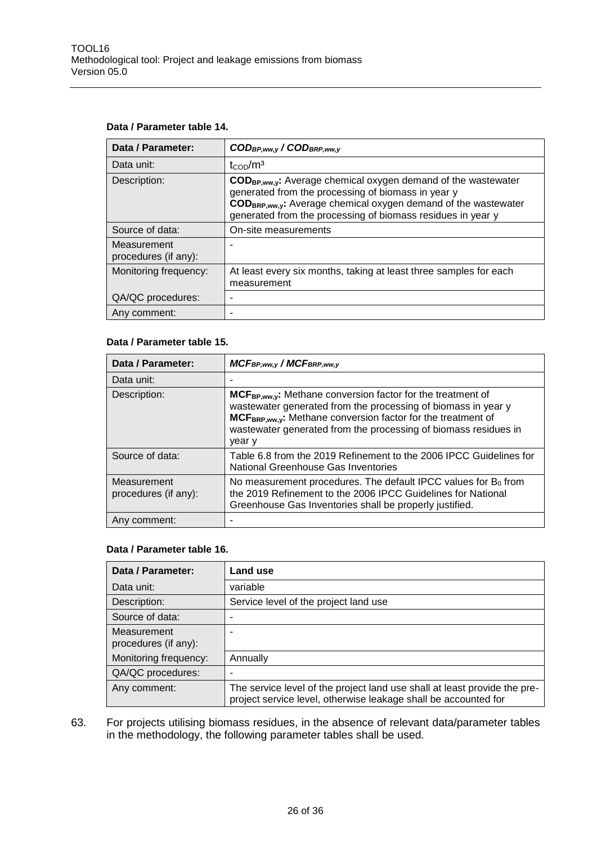#### **Data / Parameter table 14.**

| Data / Parameter:                   | CODBP, ww, y / CODBRP, ww, y                                                                                                                                                                                                                                    |
|-------------------------------------|-----------------------------------------------------------------------------------------------------------------------------------------------------------------------------------------------------------------------------------------------------------------|
| Data unit:                          | $t_{\rm{COD}}/m^3$                                                                                                                                                                                                                                              |
| Description:                        | COD <sub>BP,ww,y</sub> : Average chemical oxygen demand of the wastewater<br>generated from the processing of biomass in year y<br>CODBRP,ww.y: Average chemical oxygen demand of the wastewater<br>generated from the processing of biomass residues in year y |
| Source of data:                     | On-site measurements                                                                                                                                                                                                                                            |
| Measurement<br>procedures (if any): |                                                                                                                                                                                                                                                                 |
| Monitoring frequency:               | At least every six months, taking at least three samples for each<br>measurement                                                                                                                                                                                |
| QA/QC procedures:                   |                                                                                                                                                                                                                                                                 |
| Any comment:                        |                                                                                                                                                                                                                                                                 |

#### **Data / Parameter table 15.**

| Data / Parameter:                   | MCFBP, ww, y / MCFBRP, ww, y                                                                                                                                                                                                                                                               |
|-------------------------------------|--------------------------------------------------------------------------------------------------------------------------------------------------------------------------------------------------------------------------------------------------------------------------------------------|
| Data unit:                          |                                                                                                                                                                                                                                                                                            |
| Description:                        | $MCF_{BP,ww,y}$ : Methane conversion factor for the treatment of<br>wastewater generated from the processing of biomass in year y<br>MCF <sub>BRP,ww,y</sub> : Methane conversion factor for the treatment of<br>wastewater generated from the processing of biomass residues in<br>year y |
| Source of data:                     | Table 6.8 from the 2019 Refinement to the 2006 IPCC Guidelines for<br>National Greenhouse Gas Inventories                                                                                                                                                                                  |
| Measurement<br>procedures (if any): | No measurement procedures. The default IPCC values for $B_0$ from<br>the 2019 Refinement to the 2006 IPCC Guidelines for National<br>Greenhouse Gas Inventories shall be properly justified.                                                                                               |
| Any comment:                        |                                                                                                                                                                                                                                                                                            |

#### **Data / Parameter table 16.**

| Data / Parameter:                   | Land use                                                                                                                                     |
|-------------------------------------|----------------------------------------------------------------------------------------------------------------------------------------------|
| Data unit:                          | variable                                                                                                                                     |
| Description:                        | Service level of the project land use                                                                                                        |
| Source of data:                     |                                                                                                                                              |
| Measurement<br>procedures (if any): |                                                                                                                                              |
| Monitoring frequency:               | Annually                                                                                                                                     |
| QA/QC procedures:                   |                                                                                                                                              |
| Any comment:                        | The service level of the project land use shall at least provide the pre-<br>project service level, otherwise leakage shall be accounted for |

63. For projects utilising biomass residues, in the absence of relevant data/parameter tables in the methodology, the following parameter tables shall be used.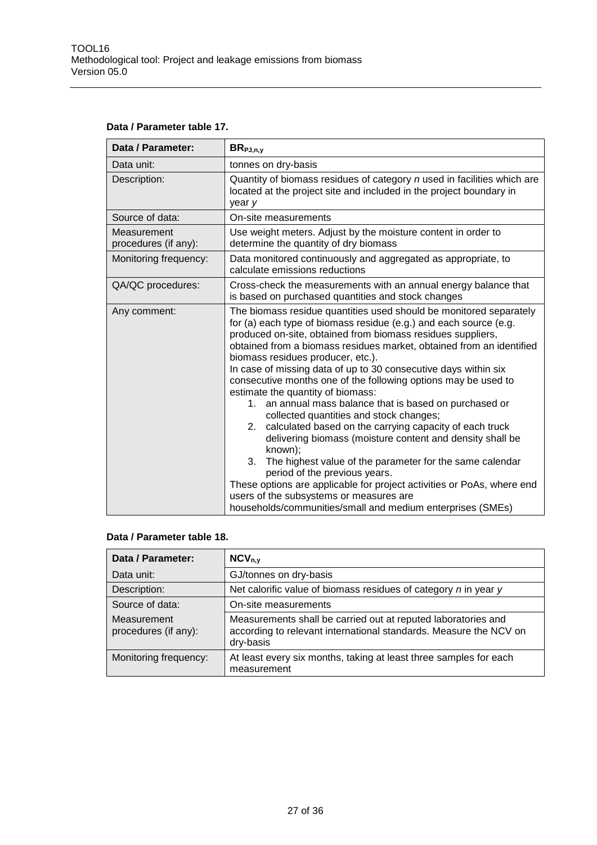| Data / Parameter table 17. |  |
|----------------------------|--|
|----------------------------|--|

| Data / Parameter:                   | $BR_{PJ,n,y}$                                                                                                                                                                                                                                                                                                                                                                                                                                                                                                                                                                                                                                                                                                                                                                                                                                                                                                                                                                                                                      |
|-------------------------------------|------------------------------------------------------------------------------------------------------------------------------------------------------------------------------------------------------------------------------------------------------------------------------------------------------------------------------------------------------------------------------------------------------------------------------------------------------------------------------------------------------------------------------------------------------------------------------------------------------------------------------------------------------------------------------------------------------------------------------------------------------------------------------------------------------------------------------------------------------------------------------------------------------------------------------------------------------------------------------------------------------------------------------------|
| Data unit:                          | tonnes on dry-basis                                                                                                                                                                                                                                                                                                                                                                                                                                                                                                                                                                                                                                                                                                                                                                                                                                                                                                                                                                                                                |
| Description:                        | Quantity of biomass residues of category n used in facilities which are<br>located at the project site and included in the project boundary in<br>year y                                                                                                                                                                                                                                                                                                                                                                                                                                                                                                                                                                                                                                                                                                                                                                                                                                                                           |
| Source of data:                     | On-site measurements                                                                                                                                                                                                                                                                                                                                                                                                                                                                                                                                                                                                                                                                                                                                                                                                                                                                                                                                                                                                               |
| Measurement<br>procedures (if any): | Use weight meters. Adjust by the moisture content in order to<br>determine the quantity of dry biomass                                                                                                                                                                                                                                                                                                                                                                                                                                                                                                                                                                                                                                                                                                                                                                                                                                                                                                                             |
| Monitoring frequency:               | Data monitored continuously and aggregated as appropriate, to<br>calculate emissions reductions                                                                                                                                                                                                                                                                                                                                                                                                                                                                                                                                                                                                                                                                                                                                                                                                                                                                                                                                    |
| QA/QC procedures:                   | Cross-check the measurements with an annual energy balance that<br>is based on purchased quantities and stock changes                                                                                                                                                                                                                                                                                                                                                                                                                                                                                                                                                                                                                                                                                                                                                                                                                                                                                                              |
| Any comment:                        | The biomass residue quantities used should be monitored separately<br>for (a) each type of biomass residue (e.g.) and each source (e.g.<br>produced on-site, obtained from biomass residues suppliers,<br>obtained from a biomass residues market, obtained from an identified<br>biomass residues producer, etc.).<br>In case of missing data of up to 30 consecutive days within six<br>consecutive months one of the following options may be used to<br>estimate the quantity of biomass:<br>1. an annual mass balance that is based on purchased or<br>collected quantities and stock changes;<br>calculated based on the carrying capacity of each truck<br>2.<br>delivering biomass (moisture content and density shall be<br>known);<br>3.<br>The highest value of the parameter for the same calendar<br>period of the previous years.<br>These options are applicable for project activities or PoAs, where end<br>users of the subsystems or measures are<br>households/communities/small and medium enterprises (SMEs) |

#### **Data / Parameter table 18.**

| Data / Parameter:                   | $NCV_{n.v}$                                                                                                                                     |
|-------------------------------------|-------------------------------------------------------------------------------------------------------------------------------------------------|
| Data unit:                          | GJ/tonnes on dry-basis                                                                                                                          |
| Description:                        | Net calorific value of biomass residues of category n in year y                                                                                 |
| Source of data:                     | On-site measurements                                                                                                                            |
| Measurement<br>procedures (if any): | Measurements shall be carried out at reputed laboratories and<br>according to relevant international standards. Measure the NCV on<br>dry-basis |
| Monitoring frequency:               | At least every six months, taking at least three samples for each<br>measurement                                                                |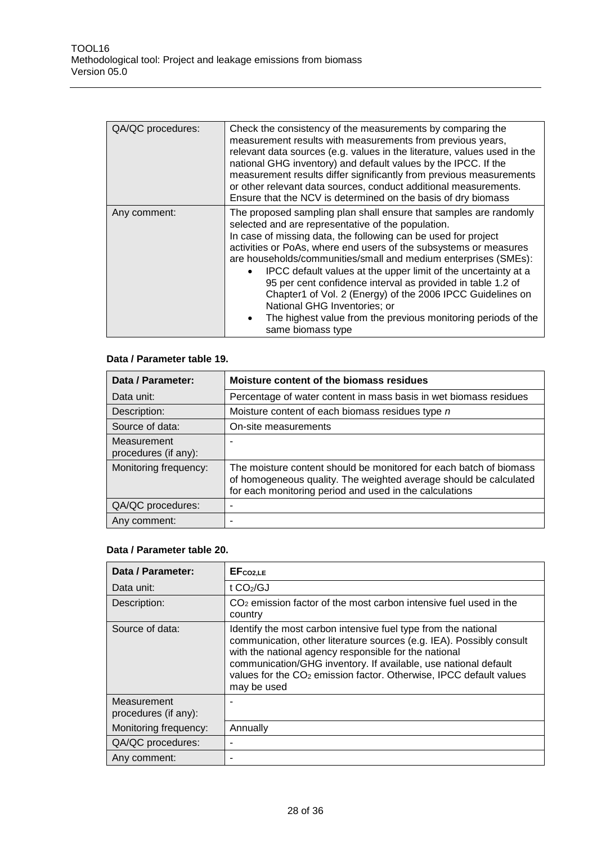| QA/QC procedures: | Check the consistency of the measurements by comparing the<br>measurement results with measurements from previous years,<br>relevant data sources (e.g. values in the literature, values used in the<br>national GHG inventory) and default values by the IPCC. If the<br>measurement results differ significantly from previous measurements<br>or other relevant data sources, conduct additional measurements.<br>Ensure that the NCV is determined on the basis of dry biomass                                                                                                                                                                                               |
|-------------------|----------------------------------------------------------------------------------------------------------------------------------------------------------------------------------------------------------------------------------------------------------------------------------------------------------------------------------------------------------------------------------------------------------------------------------------------------------------------------------------------------------------------------------------------------------------------------------------------------------------------------------------------------------------------------------|
| Any comment:      | The proposed sampling plan shall ensure that samples are randomly<br>selected and are representative of the population.<br>In case of missing data, the following can be used for project<br>activities or PoAs, where end users of the subsystems or measures<br>are households/communities/small and medium enterprises (SMEs):<br>IPCC default values at the upper limit of the uncertainty at a<br>$\bullet$<br>95 per cent confidence interval as provided in table 1.2 of<br>Chapter1 of Vol. 2 (Energy) of the 2006 IPCC Guidelines on<br>National GHG Inventories; or<br>The highest value from the previous monitoring periods of the<br>$\bullet$<br>same biomass type |

#### **Data / Parameter table 19.**

| Data / Parameter:                   | Moisture content of the biomass residues                                                                                                                                                           |
|-------------------------------------|----------------------------------------------------------------------------------------------------------------------------------------------------------------------------------------------------|
| Data unit:                          | Percentage of water content in mass basis in wet biomass residues                                                                                                                                  |
| Description:                        | Moisture content of each biomass residues type n                                                                                                                                                   |
| Source of data:                     | On-site measurements                                                                                                                                                                               |
| Measurement<br>procedures (if any): |                                                                                                                                                                                                    |
| Monitoring frequency:               | The moisture content should be monitored for each batch of biomass<br>of homogeneous quality. The weighted average should be calculated<br>for each monitoring period and used in the calculations |
| QA/QC procedures:                   |                                                                                                                                                                                                    |
| Any comment:                        |                                                                                                                                                                                                    |

#### **Data / Parameter table 20.**

| Data / Parameter:                   | EF <sub>co2,LE</sub>                                                                                                                                                                                                                                                                                                                                                |
|-------------------------------------|---------------------------------------------------------------------------------------------------------------------------------------------------------------------------------------------------------------------------------------------------------------------------------------------------------------------------------------------------------------------|
| Data unit:                          | t $CO2/GJ$                                                                                                                                                                                                                                                                                                                                                          |
| Description:                        | $CO2$ emission factor of the most carbon intensive fuel used in the<br>country                                                                                                                                                                                                                                                                                      |
| Source of data:                     | Identify the most carbon intensive fuel type from the national<br>communication, other literature sources (e.g. IEA). Possibly consult<br>with the national agency responsible for the national<br>communication/GHG inventory. If available, use national default<br>values for the CO <sub>2</sub> emission factor. Otherwise, IPCC default values<br>may be used |
| Measurement<br>procedures (if any): |                                                                                                                                                                                                                                                                                                                                                                     |
| Monitoring frequency:               | Annually                                                                                                                                                                                                                                                                                                                                                            |
| QA/QC procedures:                   |                                                                                                                                                                                                                                                                                                                                                                     |
| Any comment:                        |                                                                                                                                                                                                                                                                                                                                                                     |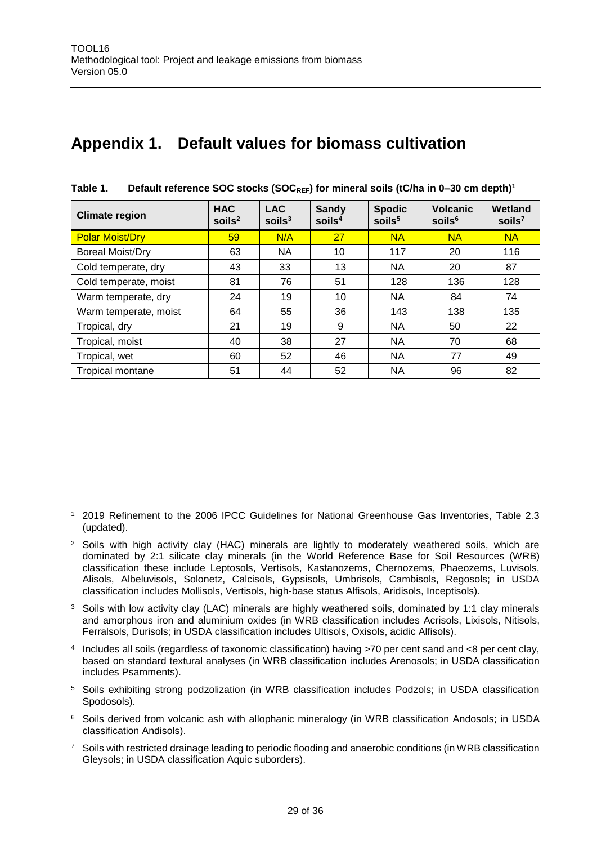$\overline{a}$ 

### <span id="page-28-0"></span>**Appendix 1. Default values for biomass cultivation**

| <b>Climate region</b>   | <b>HAC</b><br>$s$ oils <sup>2</sup> | <b>LAC</b><br>$s$ oils <sup>3</sup> | <b>Sandy</b><br>$s$ oils <sup>4</sup> | <b>Spodic</b><br>soils <sup>5</sup> | <b>Volcanic</b><br>soils <sup>6</sup> | Wetland<br>soils $7$ |
|-------------------------|-------------------------------------|-------------------------------------|---------------------------------------|-------------------------------------|---------------------------------------|----------------------|
| <b>Polar Moist/Dry</b>  | 59                                  | N/A                                 | 27                                    | <b>NA</b>                           | <b>NA</b>                             | <b>NA</b>            |
| <b>Boreal Moist/Dry</b> | 63                                  | <b>NA</b>                           | 10                                    | 117                                 | 20                                    | 116                  |
| Cold temperate, dry     | 43                                  | 33                                  | 13                                    | <b>NA</b>                           | 20                                    | 87                   |
| Cold temperate, moist   | 81                                  | 76                                  | 51                                    | 128                                 | 136                                   | 128                  |
| Warm temperate, dry     | 24                                  | 19                                  | 10                                    | <b>NA</b>                           | 84                                    | 74                   |
| Warm temperate, moist   | 64                                  | 55                                  | 36                                    | 143                                 | 138                                   | 135                  |
| Tropical, dry           | 21                                  | 19                                  | 9                                     | <b>NA</b>                           | 50                                    | 22                   |
| Tropical, moist         | 40                                  | 38                                  | 27                                    | <b>NA</b>                           | 70                                    | 68                   |
| Tropical, wet           | 60                                  | 52                                  | 46                                    | <b>NA</b>                           | 77                                    | 49                   |
| <b>Tropical montane</b> | 51                                  | 44                                  | 52                                    | <b>NA</b>                           | 96                                    | 82                   |

| Table 1. | Default reference SOC stocks (SOC $_{REF}$ ) for mineral soils (tC/ha in 0-30 cm depth) <sup>1</sup> |  |  |  |  |  |
|----------|------------------------------------------------------------------------------------------------------|--|--|--|--|--|
|----------|------------------------------------------------------------------------------------------------------|--|--|--|--|--|

- <sup>3</sup> Soils with low activity clay (LAC) minerals are highly weathered soils, dominated by 1:1 clay minerals and amorphous iron and aluminium oxides (in WRB classification includes Acrisols, Lixisols, Nitisols, Ferralsols, Durisols; in USDA classification includes Ultisols, Oxisols, acidic Alfisols).
- 4 Includes all soils (regardless of taxonomic classification) having >70 per cent sand and <8 per cent clay, based on standard textural analyses (in WRB classification includes Arenosols; in USDA classification includes Psamments).
- <sup>5</sup> Soils exhibiting strong podzolization (in WRB classification includes Podzols; in USDA classification Spodosols).
- <sup>6</sup> Soils derived from volcanic ash with allophanic mineralogy (in WRB classification Andosols; in USDA classification Andisols).
- <sup>7</sup> Soils with restricted drainage leading to periodic flooding and anaerobic conditions (in WRB classification Gleysols; in USDA classification Aquic suborders).

<sup>1</sup> 2019 Refinement to the 2006 IPCC Guidelines for National Greenhouse Gas Inventories, Table 2.3 (updated).

<sup>&</sup>lt;sup>2</sup> Soils with high activity clay (HAC) minerals are lightly to moderately weathered soils, which are dominated by 2:1 silicate clay minerals (in the World Reference Base for Soil Resources (WRB) classification these include Leptosols, Vertisols, Kastanozems, Chernozems, Phaeozems, Luvisols, Alisols, Albeluvisols, Solonetz, Calcisols, Gypsisols, Umbrisols, Cambisols, Regosols; in USDA classification includes Mollisols, Vertisols, high-base status Alfisols, Aridisols, Inceptisols).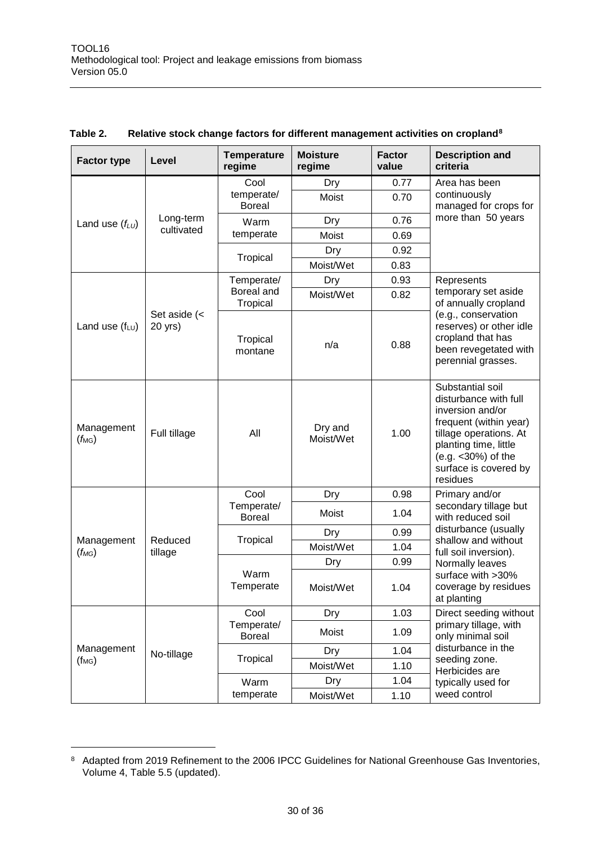| <b>Factor type</b>                                                       | Level        | <b>Temperature</b><br>regime | <b>Moisture</b><br>regime | <b>Factor</b><br>value | <b>Description and</b><br>criteria                                                                                                                                                                     |
|--------------------------------------------------------------------------|--------------|------------------------------|---------------------------|------------------------|--------------------------------------------------------------------------------------------------------------------------------------------------------------------------------------------------------|
|                                                                          |              | Cool                         | Dry                       | 0.77                   | Area has been                                                                                                                                                                                          |
|                                                                          |              | temperate/<br><b>Boreal</b>  | Moist                     | 0.70                   | continuously<br>managed for crops for                                                                                                                                                                  |
| Land use $(f_{LU})$                                                      | Long-term    | Warm                         | Dry                       | 0.76                   | more than 50 years                                                                                                                                                                                     |
|                                                                          | cultivated   | temperate                    | Moist                     | 0.69                   |                                                                                                                                                                                                        |
|                                                                          |              | Tropical                     | Dry                       | 0.92                   |                                                                                                                                                                                                        |
|                                                                          |              |                              | Moist/Wet                 | 0.83                   |                                                                                                                                                                                                        |
|                                                                          |              | Temperate/                   | Dry                       | 0.93                   | Represents                                                                                                                                                                                             |
|                                                                          |              | Boreal and<br>Tropical       | Moist/Wet                 | 0.82                   | temporary set aside<br>of annually cropland                                                                                                                                                            |
| Set aside $\left\langle \right\rangle$<br>Land use $(f_{LU})$<br>20 yrs) |              | Tropical<br>montane          | n/a                       | 0.88                   | (e.g., conservation<br>reserves) or other idle<br>cropland that has<br>been revegetated with<br>perennial grasses.                                                                                     |
| Management<br>$(f_{\text{MG}})$                                          | Full tillage | All                          | Dry and<br>Moist/Wet      | 1.00                   | Substantial soil<br>disturbance with full<br>inversion and/or<br>frequent (within year)<br>tillage operations. At<br>planting time, little<br>(e.g. < 30%) of the<br>surface is covered by<br>residues |
|                                                                          |              | Cool                         | Dry                       | 0.98                   | Primary and/or                                                                                                                                                                                         |
|                                                                          | Reduced      | Temperate/<br><b>Boreal</b>  | Moist                     | 1.04                   | secondary tillage but<br>with reduced soil                                                                                                                                                             |
|                                                                          |              | Tropical                     | Dry                       | 0.99                   | disturbance (usually<br>shallow and without                                                                                                                                                            |
| Management<br>$(f_{MG})$                                                 | tillage      |                              | Moist/Wet                 | 1.04                   | full soil inversion).                                                                                                                                                                                  |
|                                                                          |              |                              | Dry                       | 0.99                   | Normally leaves                                                                                                                                                                                        |
|                                                                          |              | Warm<br>Temperate            | Moist/Wet                 | 1.04                   | surface with >30%<br>coverage by residues<br>at planting                                                                                                                                               |
|                                                                          |              | Cool                         | Dry                       | 1.03                   | Direct seeding without                                                                                                                                                                                 |
|                                                                          |              | Temperate/<br><b>Boreal</b>  | Moist                     | 1.09                   | primary tillage, with<br>only minimal soil                                                                                                                                                             |
| Management                                                               | No-tillage   |                              | Dry                       | 1.04                   | disturbance in the                                                                                                                                                                                     |
| $(f_{MG})$                                                               |              | Tropical                     | Moist/Wet                 | 1.10                   | seeding zone.<br>Herbicides are                                                                                                                                                                        |
|                                                                          |              | Warm                         | Dry                       | 1.04                   | typically used for                                                                                                                                                                                     |
|                                                                          |              | temperate                    | Moist/Wet                 | 1.10                   | weed control                                                                                                                                                                                           |

#### **Table 2. Relative stock change factors for different management activities on cropland<sup>8</sup>**

 $\overline{a}$ 

<sup>8</sup> Adapted from 2019 Refinement to the 2006 IPCC Guidelines for National Greenhouse Gas Inventories, Volume 4, Table 5.5 (updated).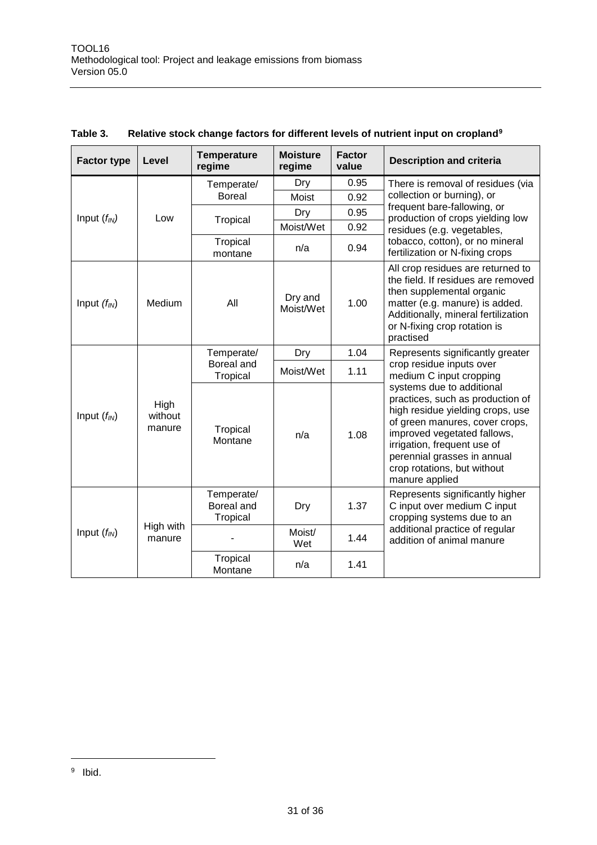| <b>Factor type</b> | Level                     | <b>Temperature</b><br>regime         | <b>Moisture</b><br>regime | <b>Factor</b><br>value                              | <b>Description and criteria</b>                                                                                                                                                                                                                                                   |
|--------------------|---------------------------|--------------------------------------|---------------------------|-----------------------------------------------------|-----------------------------------------------------------------------------------------------------------------------------------------------------------------------------------------------------------------------------------------------------------------------------------|
|                    |                           | Temperate/                           | Dry                       | 0.95                                                | There is removal of residues (via                                                                                                                                                                                                                                                 |
|                    |                           | <b>Boreal</b>                        | <b>Moist</b>              | 0.92                                                | collection or burning), or<br>frequent bare-fallowing, or                                                                                                                                                                                                                         |
| Input $(f_{IN})$   | Low                       | Tropical                             | Dry                       | 0.95                                                | production of crops yielding low                                                                                                                                                                                                                                                  |
|                    |                           |                                      | Moist/Wet                 | 0.92                                                | residues (e.g. vegetables,                                                                                                                                                                                                                                                        |
|                    |                           | Tropical<br>montane                  | n/a                       | 0.94                                                | tobacco, cotton), or no mineral<br>fertilization or N-fixing crops                                                                                                                                                                                                                |
| Input $(f_{IN})$   | Medium                    | All                                  | Dry and<br>Moist/Wet      | 1.00                                                | All crop residues are returned to<br>the field. If residues are removed<br>then supplemental organic<br>matter (e.g. manure) is added.<br>Additionally, mineral fertilization<br>or N-fixing crop rotation is<br>practised                                                        |
|                    |                           | Temperate/                           | Dry                       | 1.04                                                | Represents significantly greater                                                                                                                                                                                                                                                  |
|                    | Boreal and<br>Tropical    | Moist/Wet                            | 1.11                      | crop residue inputs over<br>medium C input cropping |                                                                                                                                                                                                                                                                                   |
| Input $(f_{IN})$   | High<br>without<br>manure | Tropical<br>Montane                  | n/a                       | 1.08                                                | systems due to additional<br>practices, such as production of<br>high residue yielding crops, use<br>of green manures, cover crops,<br>improved vegetated fallows,<br>irrigation, frequent use of<br>perennial grasses in annual<br>crop rotations, but without<br>manure applied |
|                    |                           | Temperate/<br>Boreal and<br>Tropical | Dry                       | 1.37                                                | Represents significantly higher<br>C input over medium C input<br>cropping systems due to an                                                                                                                                                                                      |
| Input $(f_{IN})$   | High with<br>manure       |                                      | Moist/<br>Wet             | 1.44                                                | additional practice of regular<br>addition of animal manure                                                                                                                                                                                                                       |
|                    |                           | Tropical<br>Montane                  | n/a                       | 1.41                                                |                                                                                                                                                                                                                                                                                   |

#### **Table 3. Relative stock change factors for different levels of nutrient input on cropland<sup>9</sup>**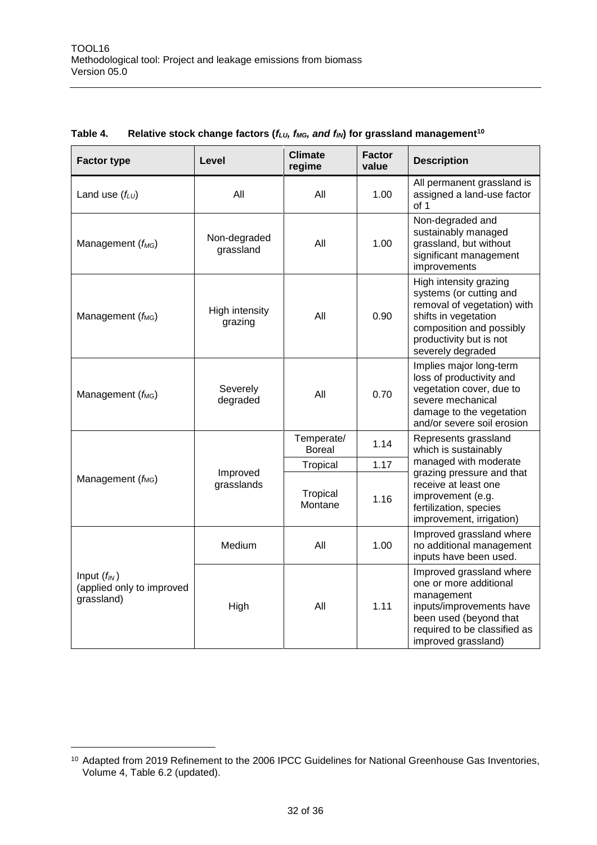| <b>Factor type</b>                                          | Level                     | <b>Climate</b><br>regime | <b>Factor</b><br>value | <b>Description</b>                                                                                                                                                                   |
|-------------------------------------------------------------|---------------------------|--------------------------|------------------------|--------------------------------------------------------------------------------------------------------------------------------------------------------------------------------------|
| Land use $(f_{LU})$                                         | All                       | All                      | 1.00                   | All permanent grassland is<br>assigned a land-use factor<br>of 1                                                                                                                     |
| Management $(f_{MG})$                                       | Non-degraded<br>grassland | All                      | 1.00                   | Non-degraded and<br>sustainably managed<br>grassland, but without<br>significant management<br>improvements                                                                          |
| Management (f <sub>MG</sub> )                               | High intensity<br>grazing | All                      | 0.90                   | High intensity grazing<br>systems (or cutting and<br>removal of vegetation) with<br>shifts in vegetation<br>composition and possibly<br>productivity but is not<br>severely degraded |
| Management (f <sub>MG</sub> )                               | Severely<br>degraded      | All                      | 0.70                   | Implies major long-term<br>loss of productivity and<br>vegetation cover, due to<br>severe mechanical<br>damage to the vegetation<br>and/or severe soil erosion                       |
|                                                             | Improved<br>grasslands    | Temperate/<br>Boreal     | 1.14                   | Represents grassland<br>which is sustainably                                                                                                                                         |
|                                                             |                           | Tropical                 | 1.17                   | managed with moderate<br>grazing pressure and that                                                                                                                                   |
| Management (f <sub>MG</sub> )                               |                           | Tropical<br>Montane      | 1.16                   | receive at least one<br>improvement (e.g.<br>fertilization, species<br>improvement, irrigation)                                                                                      |
|                                                             | Medium                    | All                      | 1.00                   | Improved grassland where<br>no additional management<br>inputs have been used.                                                                                                       |
| Input $(f_{IN})$<br>(applied only to improved<br>grassland) | High                      | All                      | 1.11                   | Improved grassland where<br>one or more additional<br>management<br>inputs/improvements have<br>been used (beyond that<br>required to be classified as<br>improved grassland)        |

#### **Table 4. Relative stock change factors (***fLU, fMG, and fIN***) for grassland management<sup>10</sup>**

 $\overline{a}$ 

<sup>10</sup> Adapted from 2019 Refinement to the 2006 IPCC Guidelines for National Greenhouse Gas Inventories, Volume 4, Table 6.2 (updated).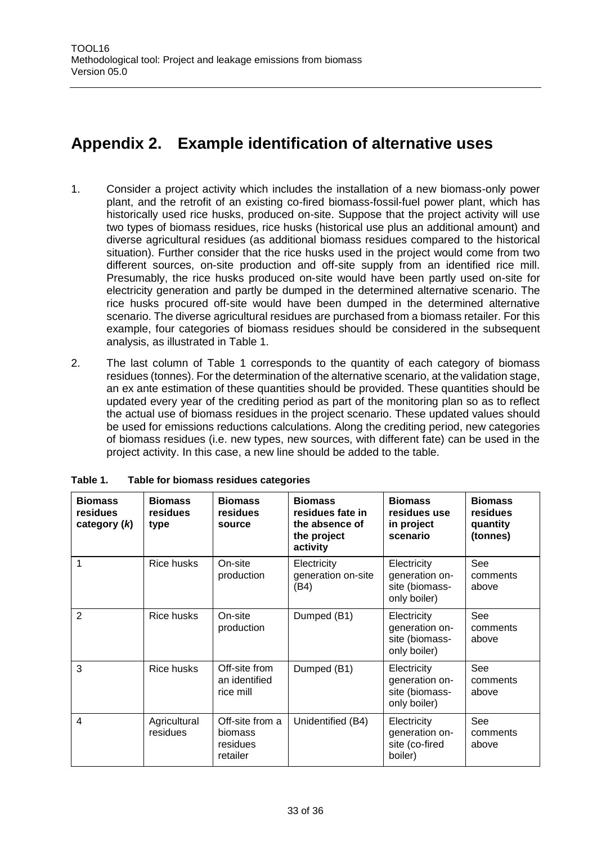### <span id="page-32-0"></span>**Appendix 2. Example identification of alternative uses**

- 1. Consider a project activity which includes the installation of a new biomass-only power plant, and the retrofit of an existing co-fired biomass-fossil-fuel power plant, which has historically used rice husks, produced on-site. Suppose that the project activity will use two types of biomass residues, rice husks (historical use plus an additional amount) and diverse agricultural residues (as additional biomass residues compared to the historical situation). Further consider that the rice husks used in the project would come from two different sources, on-site production and off-site supply from an identified rice mill. Presumably, the rice husks produced on-site would have been partly used on-site for electricity generation and partly be dumped in the determined alternative scenario. The rice husks procured off-site would have been dumped in the determined alternative scenario. The diverse agricultural residues are purchased from a biomass retailer. For this example, four categories of biomass residues should be considered in the subsequent analysis, as illustrated in Table 1.
- 2. The last column of Table 1 corresponds to the quantity of each category of biomass residues (tonnes). For the determination of the alternative scenario, at the validation stage, an ex ante estimation of these quantities should be provided. These quantities should be updated every year of the crediting period as part of the monitoring plan so as to reflect the actual use of biomass residues in the project scenario. These updated values should be used for emissions reductions calculations. Along the crediting period, new categories of biomass residues (i.e. new types, new sources, with different fate) can be used in the project activity. In this case, a new line should be added to the table.

| <b>Biomass</b><br>residues<br>category $(k)$ | <b>Biomass</b><br>residues<br>type | <b>Biomass</b><br>residues<br>source                      | <b>Biomass</b><br>residues fate in<br>the absence of<br>the project<br>activity | <b>Biomass</b><br>residues use<br>in project<br>scenario        | <b>Biomass</b><br>residues<br>quantity<br>(tonnes) |
|----------------------------------------------|------------------------------------|-----------------------------------------------------------|---------------------------------------------------------------------------------|-----------------------------------------------------------------|----------------------------------------------------|
| 1                                            | Rice husks                         | On-site<br>production                                     | Electricity<br>generation on-site<br>(B4)                                       | Electricity<br>generation on-<br>site (biomass-<br>only boiler) | See<br>comments<br>above                           |
| $\mathbf{2}$                                 | Rice husks                         | On-site<br>production                                     | Dumped (B1)                                                                     | Electricity<br>generation on-<br>site (biomass-<br>only boiler) | See<br>comments<br>above                           |
| 3                                            | Rice husks                         | Off-site from<br>an identified<br>rice mill               | Dumped (B1)                                                                     | Electricity<br>generation on-<br>site (biomass-<br>only boiler) | See<br>comments<br>above                           |
| $\overline{4}$                               | Agricultural<br>residues           | Off-site from a<br><b>biomass</b><br>residues<br>retailer | Unidentified (B4)                                                               | Electricity<br>generation on-<br>site (co-fired<br>boiler)      | See<br>comments<br>above                           |

**Table 1. Table for biomass residues categories**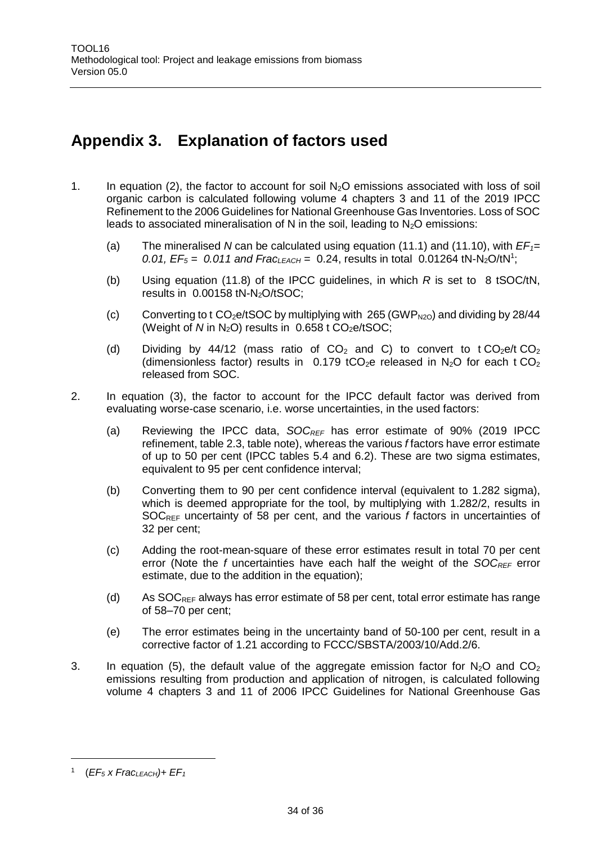## <span id="page-33-0"></span>**Appendix 3. Explanation of factors used**

- 1. In equation (2), the factor to account for soil  $N_2O$  emissions associated with loss of soil organic carbon is calculated following volume 4 chapters 3 and 11 of the 2019 IPCC Refinement to the 2006 Guidelines for National Greenhouse Gas Inventories. Loss of SOC leads to associated mineralisation of N in the soil, leading to  $N_2O$  emissions:
	- (a) The mineralised *N* can be calculated using equation (11.1) and (11.10), with *EF1=* 0.01,  $EF_5 = 0.011$  and  $Frac_{LEACH} = 0.24$ , results in total 0.01264 tN-N<sub>2</sub>O/tN<sup>1</sup>;
	- (b) Using equation (11.8) of the IPCC guidelines, in which *R* is set to 8 tSOC/tN, results in 0.00158 tN-N<sub>2</sub>O/tSOC;
	- (c) Converting to t CO<sub>2</sub>e/tSOC by multiplying with 265 (GWP<sub>N2O</sub>) and dividing by 28/44 (Weight of  $N$  in  $N_2O$ ) results in  $0.658$  t  $CO_2e/tSOC$ ;
	- (d) Dividing by 44/12 (mass ratio of  $CO<sub>2</sub>$  and C) to convert to t  $CO<sub>2</sub>e/t CO<sub>2</sub>$ (dimensionless factor) results in  $0.179$  tCO<sub>2</sub>e released in N<sub>2</sub>O for each t CO<sub>2</sub> released from SOC.
- 2. In equation (3), the factor to account for the IPCC default factor was derived from evaluating worse-case scenario, i.e. worse uncertainties, in the used factors:
	- (a) Reviewing the IPCC data, *SOCREF* has error estimate of 90% (2019 IPCC refinement, table 2.3, table note), whereas the various *f* factors have error estimate of up to 50 per cent (IPCC tables 5.4 and 6.2). These are two sigma estimates, equivalent to 95 per cent confidence interval;
	- (b) Converting them to 90 per cent confidence interval (equivalent to 1.282 sigma), which is deemed appropriate for the tool, by multiplying with 1.282/2, results in SOCREF uncertainty of 58 per cent, and the various *f* factors in uncertainties of 32 per cent;
	- (c) Adding the root-mean-square of these error estimates result in total 70 per cent error (Note the *f* uncertainties have each half the weight of the *SOCREF* error estimate, due to the addition in the equation);
	- (d) As  $SOC_{REF}$  always has error estimate of 58 per cent, total error estimate has range of 58–70 per cent;
	- (e) The error estimates being in the uncertainty band of 50-100 per cent, result in a corrective factor of 1.21 according to FCCC/SBSTA/2003/10/Add.2/6.
- 3. In equation (5), the default value of the aggregate emission factor for  $N_2O$  and  $CO<sub>2</sub>$ emissions resulting from production and application of nitrogen, is calculated following volume 4 chapters 3 and 11 of 2006 IPCC Guidelines for National Greenhouse Gas

<sup>1</sup> (*EF<sup>5</sup> x FracLEACH)+ EF<sup>1</sup>*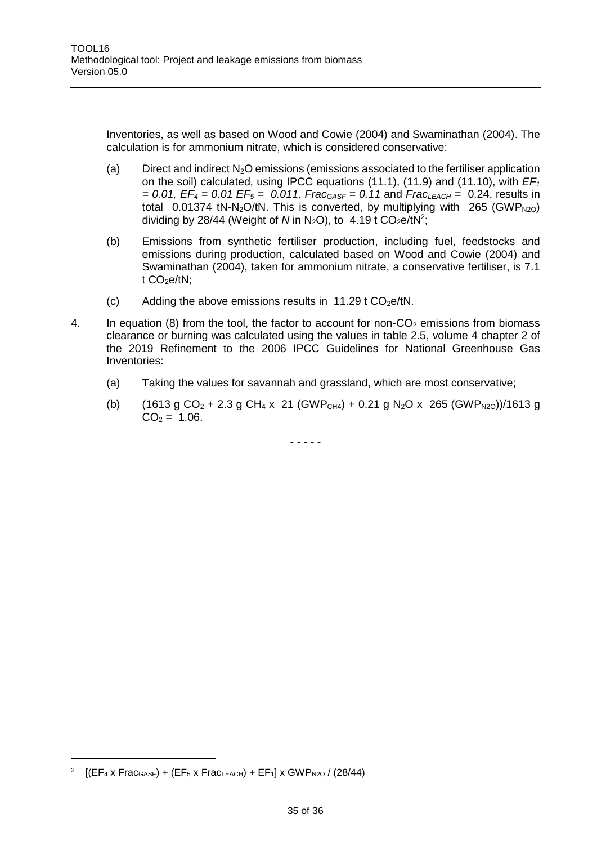Inventories, as well as based on Wood and Cowie (2004) and Swaminathan (2004). The calculation is for ammonium nitrate, which is considered conservative:

- (a) Direct and indirect  $N_2O$  emissions (emissions associated to the fertiliser application on the soil) calculated, using IPCC equations (11.1), (11.9) and (11.10), with *EF<sup>1</sup> = 0.01, EF<sup>4</sup> = 0.01 EF<sup>5</sup> = 0.011, FracGASF = 0.11* and *FracLEACH =* 0.24, results in total 0.01374 tN-N<sub>2</sub>O/tN. This is converted, by multiplying with 265 (GWP<sub>N2O</sub>) dividing by 28/44 (Weight of N in N<sub>2</sub>O), to  $4.19$  t CO<sub>2</sub>e/tN<sup>2</sup>;
- (b) Emissions from synthetic fertiliser production, including fuel, feedstocks and emissions during production, calculated based on Wood and Cowie (2004) and Swaminathan (2004), taken for ammonium nitrate, a conservative fertiliser, is 7.1 t  $CO<sub>2</sub>e/tN$ ;
- (c) Adding the above emissions results in 11.29 t  $CO<sub>2</sub>e/tN$ .
- 4. In equation (8) from the tool, the factor to account for non- $CO<sub>2</sub>$  emissions from biomass clearance or burning was calculated using the values in table 2.5, volume 4 chapter 2 of the 2019 Refinement to the 2006 IPCC Guidelines for National Greenhouse Gas Inventories:
	- (a) Taking the values for savannah and grassland, which are most conservative;
	- (b) (1613 g CO<sub>2</sub> + 2.3 g CH<sub>4</sub> x 21 (GWP<sub>CH4</sub>) + 0.21 g N<sub>2</sub>O x 265 (GWP<sub>N2O</sub>))/1613 g  $CO<sub>2</sub> = 1.06$ .

- - - - -

<sup>2</sup> [(EF<sup>4</sup> x FracGASF) + (EF<sup>5</sup> x FracLEACH) + EF1] x GWPN2O / (28/44)